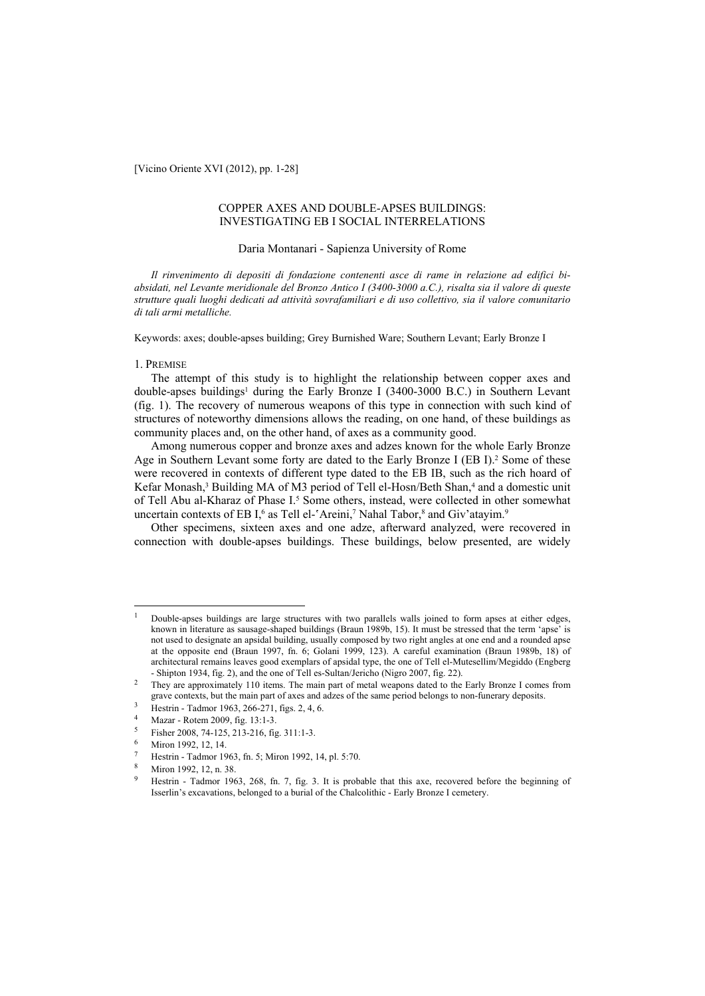[Vicino Oriente XVI (2012), pp. 1-28]

# COPPER AXES AND DOUBLE-APSES BUILDINGS: INVESTIGATING EB I SOCIAL INTERRELATIONS

#### Daria Montanari - Sapienza University of Rome

*Il rinvenimento di depositi di fondazione contenenti asce di rame in relazione ad edifici biabsidati, nel Levante meridionale del Bronzo Antico I (3400-3000 a.C.), risalta sia il valore di queste strutture quali luoghi dedicati ad attività sovrafamiliari e di uso collettivo, sia il valore comunitario di tali armi metalliche.* 

Keywords: axes; double-apses building; Grey Burnished Ware; Southern Levant; Early Bronze I

#### 1. PREMISE

The attempt of this study is to highlight the relationship between copper axes and double-apses buildings<sup>1</sup> during the Early Bronze I (3400-3000 B.C.) in Southern Levant (fig. 1). The recovery of numerous weapons of this type in connection with such kind of structures of noteworthy dimensions allows the reading, on one hand, of these buildings as community places and, on the other hand, of axes as a community good.

Among numerous copper and bronze axes and adzes known for the whole Early Bronze Age in Southern Levant some forty are dated to the Early Bronze I (EB I).2 Some of these were recovered in contexts of different type dated to the EB IB, such as the rich hoard of Kefar Monash,<sup>3</sup> Building MA of M3 period of Tell el-Hosn/Beth Shan,<sup>4</sup> and a domestic unit of Tell Abu al-Kharaz of Phase I.<sup>5</sup> Some others, instead, were collected in other somewhat uncertain contexts of EB I,<sup>6</sup> as Tell el-'Areini,<sup>7</sup> Nahal Tabor,<sup>8</sup> and Giv'atayim.<sup>9</sup>

Other specimens, sixteen axes and one adze, afterward analyzed, were recovered in connection with double-apses buildings. These buildings, below presented, are widely

Mazar - Rotem 2009, fig. 13:1-3.

<sup>1</sup> Double-apses buildings are large structures with two parallels walls joined to form apses at either edges, known in literature as sausage-shaped buildings (Braun 1989b, 15). It must be stressed that the term 'apse' is not used to designate an apsidal building, usually composed by two right angles at one end and a rounded apse at the opposite end (Braun 1997, fn. 6; Golani 1999, 123). A careful examination (Braun 1989b, 18) of architectural remains leaves good exemplars of apsidal type, the one of Tell el-Mutesellim/Megiddo (Engberg

<sup>-</sup> Shipton 1934, fig. 2), and the one of Tell es-Sultan/Jericho (Nigro 2007, fig. 22).<br><sup>2</sup> They are approximately 110 items. The main part of metal weapons dated to the Early Bronze I comes from grave contexts, but the main part of axes and adzes of the same period belongs to non-funerary deposits.<br><sup>3</sup> Hestrin - Tadmor 1963, 266-271, figs. 2, 4, 6.<br><sup>4</sup> Messen Betwy 2000, figs. 13:1.3.

<sup>5</sup> Fisher 2008, 74-125, 213-216, fig. 311:1-3.

Miron 1992, 12, 14.

Hestrin - Tadmor 1963, fn. 5; Miron 1992, 14, pl. 5:70.

Miron 1992, 12, n. 38.

<sup>&</sup>lt;sup>9</sup> Hestrin - Tadmor 1963, 268, fn. 7, fig. 3. It is probable that this axe, recovered before the beginning of Isserlin's excavations, belonged to a burial of the Chalcolithic - Early Bronze I cemetery.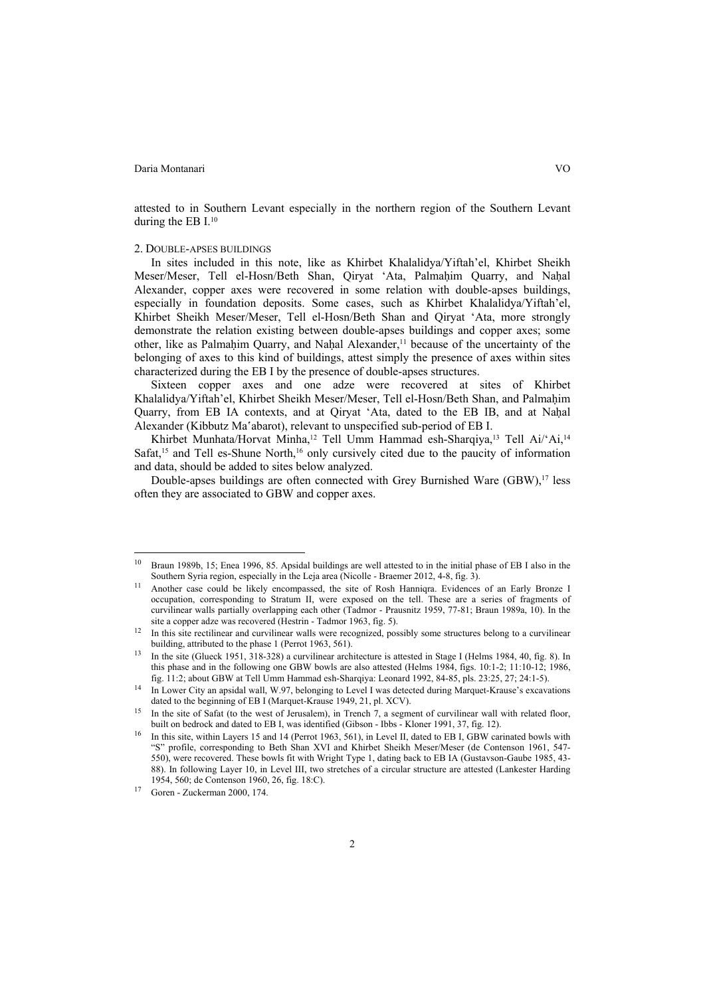$\overline{a}$ 

attested to in Southern Levant especially in the northern region of the Southern Levant during the EB I.10

#### 2. DOUBLE-APSES BUILDINGS

In sites included in this note, like as Khirbet Khalalidya/Yiftah'el, Khirbet Sheikh Meser/Meser, Tell el-Hosn/Beth Shan, Qiryat 'Ata, Palmaḥim Quarry, and Naḥal Alexander, copper axes were recovered in some relation with double-apses buildings, especially in foundation deposits. Some cases, such as Khirbet Khalalidya/Yiftah'el, Khirbet Sheikh Meser/Meser, Tell el-Hosn/Beth Shan and Qiryat 'Ata, more strongly demonstrate the relation existing between double-apses buildings and copper axes; some other, like as Palmaḥim Quarry, and Naḥal Alexander,11 because of the uncertainty of the belonging of axes to this kind of buildings, attest simply the presence of axes within sites characterized during the EB I by the presence of double-apses structures.

Sixteen copper axes and one adze were recovered at sites of Khirbet Khalalidya/Yiftah'el, Khirbet Sheikh Meser/Meser, Tell el-Hosn/Beth Shan, and Palmahim Quarry, from EB IA contexts, and at Qiryat 'Ata, dated to the EB IB, and at Naḥal Alexander (Kibbutz Ma'abarot), relevant to unspecified sub-period of EB I.

Khirbet Munhata/Horvat Minha,<sup>12</sup> Tell Umm Hammad esh-Sharqiya,<sup>13</sup> Tell Ai/'Ai,<sup>14</sup> Safat,<sup>15</sup> and Tell es-Shune North,<sup>16</sup> only cursively cited due to the paucity of information and data, should be added to sites below analyzed.

Double-apses buildings are often connected with Grey Burnished Ware (GBW),<sup>17</sup> less often they are associated to GBW and copper axes.

<sup>&</sup>lt;sup>10</sup> Braun 1989b, 15; Enea 1996, 85. Apsidal buildings are well attested to in the initial phase of EB I also in the Southern Syria region, especially in the Leja area (Nicolle - Braemer 2012, 4-8, fig. 3).

<sup>&</sup>lt;sup>11</sup> Another case could be likely encompassed, the site of Rosh Hanniqra. Evidences of an Early Bronze I occupation, corresponding to Stratum II, were exposed on the tell. These are a series of fragments of curvilinear walls partially overlapping each other (Tadmor - Prausnitz 1959, 77-81; Braun 1989a, 10). In the site a copper adze was recovered (Hestrin - Tadmor 1963, fig. 5).<br>In this site rectilinear and curvilinear walls were recognized, possibly some structures belong to a curvilinear

building, attributed to the phase 1 (Perrot 1963, 561).<br>In the site (Glueck 1951, 318-328) a curvilinear architecture is attested in Stage I (Helms 1984, 40, fig. 8). In

this phase and in the following one GBW bowls are also attested (Helms 1984, figs. 10:1-2; 11:10-12; 1986, fig. 11:2; about GBW at Tell Umm Hammad esh-Sharqiya: Leonard 1992, 84-85, pls. 23:25, 27; 24:1-5).

<sup>&</sup>lt;sup>14</sup> In Lower City an apsidal wall, W.97, belonging to Level I was detected during Marquet-Krause's excavations dated to the beginning of EB I (Marquet-Krause 1949, 21, pl. XCV).

In the site of Safat (to the west of Jerusalem), in Trench 7, a segment of curvilinear wall with related floor, built on bedrock and dated to EB I. was identified (Gibson - Ibbs - Kloner 1991. 37. fig. 12).

In this site, within Layers 15 and 14 (Perrot 1963, 561), in Level II, dated to EB I, GBW carinated bowls with "S" profile, corresponding to Beth Shan XVI and Khirbet Sheikh Meser/Meser (de Contenson 1961, 547- 550), were recovered. These bowls fit with Wright Type 1, dating back to EB IA (Gustavson-Gaube 1985, 43- 88). In following Layer 10, in Level III, two stretches of a circular structure are attested (Lankester Harding 1954, 560; de Contenson 1960, 26, fig. 18:C). 17 Goren - Zuckerman 2000, 174.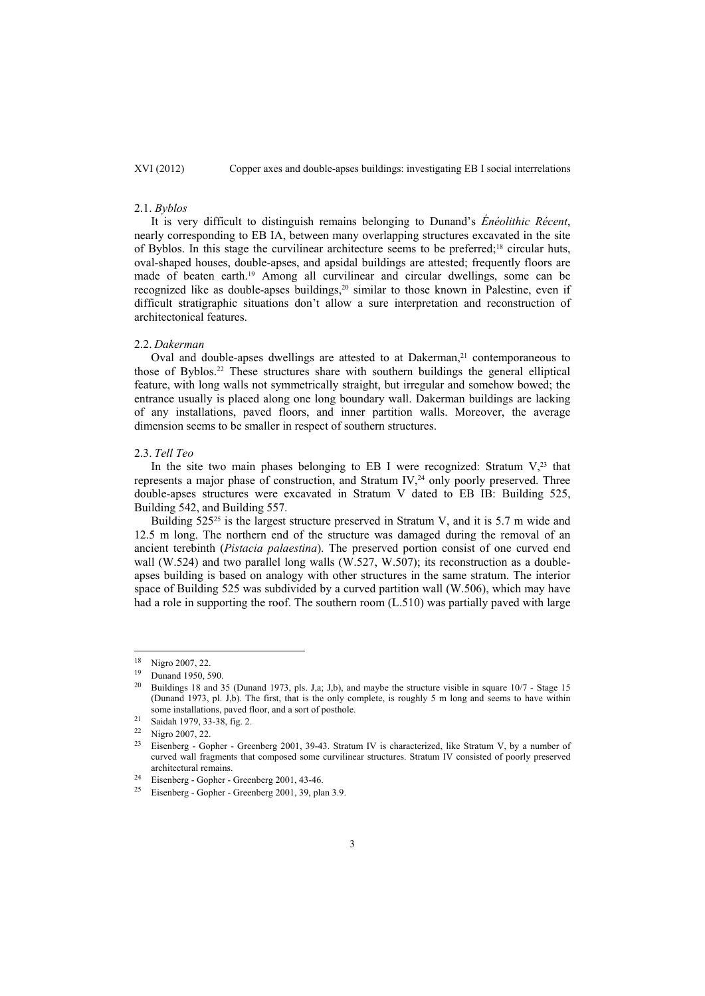#### 2.1. *Byblos*

It is very difficult to distinguish remains belonging to Dunand's *Énéolithic Récent*, nearly corresponding to EB IA, between many overlapping structures excavated in the site of Byblos. In this stage the curvilinear architecture seems to be preferred;18 circular huts, oval-shaped houses, double-apses, and apsidal buildings are attested; frequently floors are made of beaten earth.19 Among all curvilinear and circular dwellings, some can be recognized like as double-apses buildings,<sup>20</sup> similar to those known in Palestine, even if difficult stratigraphic situations don't allow a sure interpretation and reconstruction of architectonical features.

#### 2.2. *Dakerman*

Oval and double-apses dwellings are attested to at Dakerman,<sup>21</sup> contemporaneous to those of Byblos.22 These structures share with southern buildings the general elliptical feature, with long walls not symmetrically straight, but irregular and somehow bowed; the entrance usually is placed along one long boundary wall. Dakerman buildings are lacking of any installations, paved floors, and inner partition walls. Moreover, the average dimension seems to be smaller in respect of southern structures.

#### 2.3. *Tell Teo*

In the site two main phases belonging to EB I were recognized: Stratum  $V<sub>1</sub><sup>23</sup>$  that represents a major phase of construction, and Stratum IV,<sup>24</sup> only poorly preserved. Three double-apses structures were excavated in Stratum V dated to EB IB: Building 525, Building 542, and Building 557.

Building 525<sup>25</sup> is the largest structure preserved in Stratum V, and it is 5.7 m wide and 12.5 m long. The northern end of the structure was damaged during the removal of an ancient terebinth (*Pistacia palaestina*). The preserved portion consist of one curved end wall (W.524) and two parallel long walls (W.527, W.507); its reconstruction as a doubleapses building is based on analogy with other structures in the same stratum. The interior space of Building 525 was subdivided by a curved partition wall (W.506), which may have had a role in supporting the roof. The southern room (L.510) was partially paved with large

 $\frac{18}{19}$  Nigro 2007, 22.

 $\frac{19}{20}$  Dunand 1950, 590.

<sup>20</sup> Buildings 18 and 35 (Dunand 1973, pls. J,a; J,b), and maybe the structure visible in square 10/7 - Stage 15 (Dunand 1973, pl. J,b). The first, that is the only complete, is roughly 5 m long and seems to have within some installations, paved floor, and a sort of posthole.<br><sup>21</sup> Saidah 1979, 33-38, fig. 2.

 $\frac{22}{23}$  Nigro 2007, 22.

<sup>23</sup> Eisenberg - Gopher - Greenberg 2001, 39-43. Stratum IV is characterized, like Stratum V, by a number of curved wall fragments that composed some curvilinear structures. Stratum IV consisted of poorly preserved

<sup>&</sup>lt;sup>24</sup> Eisenberg - Gopher - Greenberg 2001, 43-46.<br><sup>25</sup> Eisenberg - Gopher - Greenberg 2001, 39, plan 3.9.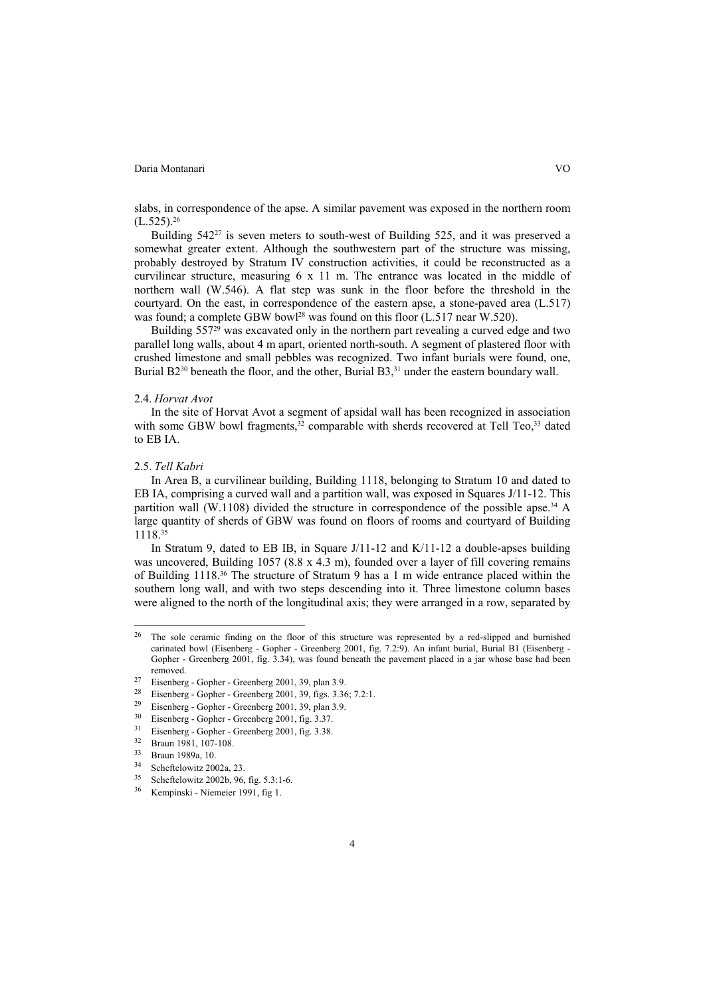slabs, in correspondence of the apse. A similar pavement was exposed in the northern room  $(L.525).^{26}$ 

Building 54227 is seven meters to south-west of Building 525, and it was preserved a somewhat greater extent. Although the southwestern part of the structure was missing, probably destroyed by Stratum IV construction activities, it could be reconstructed as a curvilinear structure, measuring 6 x 11 m. The entrance was located in the middle of northern wall (W.546). A flat step was sunk in the floor before the threshold in the courtyard. On the east, in correspondence of the eastern apse, a stone-paved area (L.517) was found; a complete GBW bowl<sup>28</sup> was found on this floor (L.517 near W.520).

Building  $557<sup>29</sup>$  was excavated only in the northern part revealing a curved edge and two parallel long walls, about 4 m apart, oriented north-south. A segment of plastered floor with crushed limestone and small pebbles was recognized. Two infant burials were found, one, Burial B2<sup>30</sup> beneath the floor, and the other, Burial B3,<sup>31</sup> under the eastern boundary wall.

#### 2.4. *Horvat Avot*

In the site of Horvat Avot a segment of apsidal wall has been recognized in association with some GBW bowl fragments,<sup>32</sup> comparable with sherds recovered at Tell Teo,<sup>33</sup> dated to EB IA.

#### 2.5. *Tell Kabri*

 $\overline{a}$ 

In Area B, a curvilinear building, Building 1118, belonging to Stratum 10 and dated to EB IA, comprising a curved wall and a partition wall, was exposed in Squares J/11-12. This partition wall (W.1108) divided the structure in correspondence of the possible apse.<sup>34</sup> A large quantity of sherds of GBW was found on floors of rooms and courtyard of Building 1118.35

In Stratum 9, dated to EB IB, in Square J/11-12 and K/11-12 a double-apses building was uncovered, Building 1057 (8.8 x 4.3 m), founded over a layer of fill covering remains of Building 1118.36 The structure of Stratum 9 has a 1 m wide entrance placed within the southern long wall, and with two steps descending into it. Three limestone column bases were aligned to the north of the longitudinal axis; they were arranged in a row, separated by

 $26$  The sole ceramic finding on the floor of this structure was represented by a red-slipped and burnished carinated bowl (Eisenberg - Gopher - Greenberg 2001, fig. 7.2:9). An infant burial, Burial B1 (Eisenberg - Gopher - Greenberg 2001, fig. 3.34), was found beneath the pavement placed in a jar whose base had been removed.<br><sup>27</sup> Eisenberg - Gopher - Greenberg 2001, 39, plan 3.9.

<sup>&</sup>lt;sup>28</sup> Eisenberg - Gopher - Greenberg 2001, 39, figs. 3.36; 7.2:1.<br><sup>29</sup> Eisenberg - Gopher - Greenberg 2001, 39, plan 3.9.<br><sup>30</sup> Eisenberg Copher - Greenberg 2001, fig. 3.27

<sup>30</sup> Eisenberg - Gopher - Greenberg 2001, fig. 3.37.

 $rac{31}{32}$  Eisenberg - Gopher - Greenberg 2001, fig. 3.38.

Braun 1981, 107-108.

<sup>33</sup> Braun 1989a, 10.

 $34$  Scheftelowitz 2002a, 23.

<sup>35</sup> Scheftelowitz 2002b, 96, fig. 5.3:1-6.

Kempinski - Niemeier 1991, fig 1.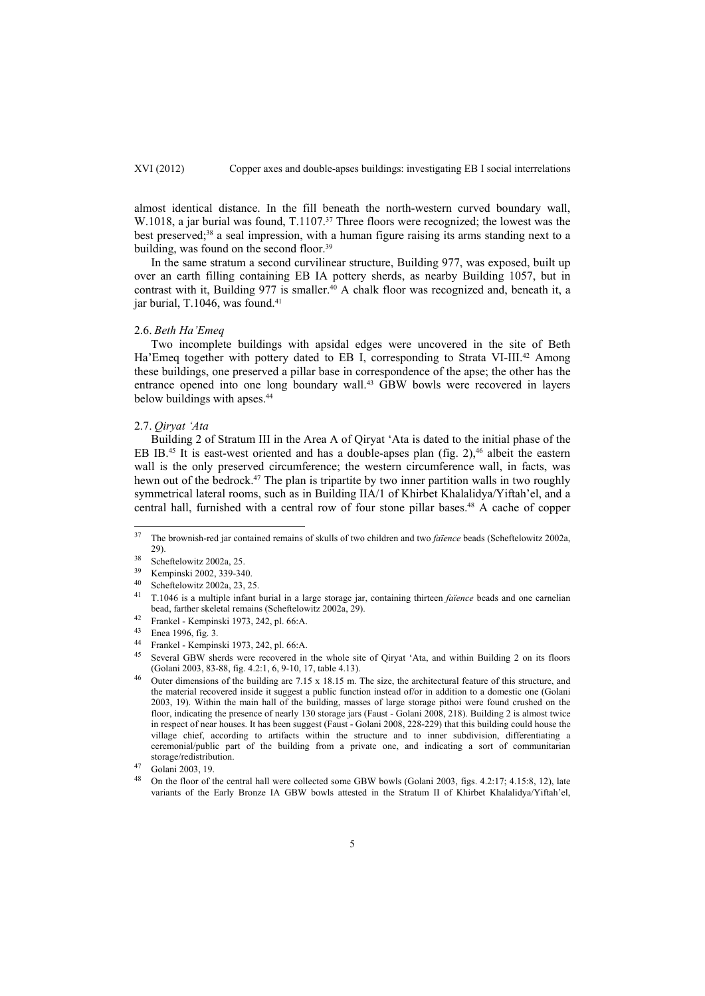almost identical distance. In the fill beneath the north-western curved boundary wall, W.1018, a jar burial was found,  $T.1107<sup>37</sup>$  Three floors were recognized; the lowest was the best preserved;38 a seal impression, with a human figure raising its arms standing next to a building, was found on the second floor.<sup>39</sup>

In the same stratum a second curvilinear structure, Building 977, was exposed, built up over an earth filling containing EB IA pottery sherds, as nearby Building 1057, but in contrast with it, Building 977 is smaller.<sup>40</sup> A chalk floor was recognized and, beneath it, a jar burial, T.1046, was found.<sup>41</sup>

#### 2.6. *Beth Ha'Emeq*

Two incomplete buildings with apsidal edges were uncovered in the site of Beth Ha'Emeg together with pottery dated to EB I, corresponding to Strata VI-III.<sup>42</sup> Among these buildings, one preserved a pillar base in correspondence of the apse; the other has the entrance opened into one long boundary wall.43 GBW bowls were recovered in layers below buildings with apses.<sup>44</sup>

#### 2.7. *Qiryat 'Ata*

Building 2 of Stratum III in the Area A of Qiryat 'Ata is dated to the initial phase of the EB IB.<sup>45</sup> It is east-west oriented and has a double-apses plan (fig. 2),<sup>46</sup> albeit the eastern wall is the only preserved circumference; the western circumference wall, in facts, was hewn out of the bedrock.<sup>47</sup> The plan is tripartite by two inner partition walls in two roughly symmetrical lateral rooms, such as in Building IIA/1 of Khirbet Khalalidya/Yiftah'el, and a central hall, furnished with a central row of four stone pillar bases.<sup>48</sup> A cache of copper

 $37$ 37 The brownish-red jar contained remains of skulls of two children and two *faïence* beads (Scheftelowitz 2002a,

<sup>29).&</sup>lt;br>
<sup>38</sup> Scheftelowitz 2002a, 25.<br>
<sup>39</sup> Kompineki 2002, 230, 24

<sup>39</sup> Kempinski 2002, 339-340. 40 Scheftelowitz 2002a, 23, 25.

<sup>41</sup> T.1046 is a multiple infant burial in a large storage jar, containing thirteen *faïence* beads and one carnelian bead, farther skeletal remains (Scheftelowitz 2002a, 29).<br>
<sup>42</sup> Frankel - Kempinski 1973, 242, pl. 66:A.<br>
<sup>43</sup> Frankel - Kempinski 1973, 242, pl. 66:A.

 $^{43}$  Enea 1996, fig. 3.

<sup>44</sup> Frankel - Kempinski 1973, 242, pl. 66:A.<br>45 Several GBW shards were recovered in

Several GBW sherds were recovered in the whole site of Qiryat 'Ata, and within Building 2 on its floors (Golani 2003, 83-88, fig. 4.2:1, 6, 9-10, 17, table 4.13).

<sup>&</sup>lt;sup>46</sup> Outer dimensions of the building are 7.15 x 18.15 m. The size, the architectural feature of this structure, and the material recovered inside it suggest a public function instead of/or in addition to a domestic one (Golani 2003, 19). Within the main hall of the building, masses of large storage pithoi were found crushed on the floor, indicating the presence of nearly 130 storage jars (Faust - Golani 2008, 218). Building 2 is almost twice in respect of near houses. It has been suggest (Faust - Golani 2008, 228-229) that this building could house the village chief, according to artifacts within the structure and to inner subdivision, differentiating a ceremonial/public part of the building from a private one, and indicating a sort of communitarian storage/redistribution. 47 Golani 2003, 19.

<sup>&</sup>lt;sup>48</sup> On the floor of the central hall were collected some GBW bowls (Golani 2003, figs. 4.2:17; 4.15:8, 12), late variants of the Early Bronze IA GBW bowls attested in the Stratum II of Khirbet Khalalidya/Yiftah'el,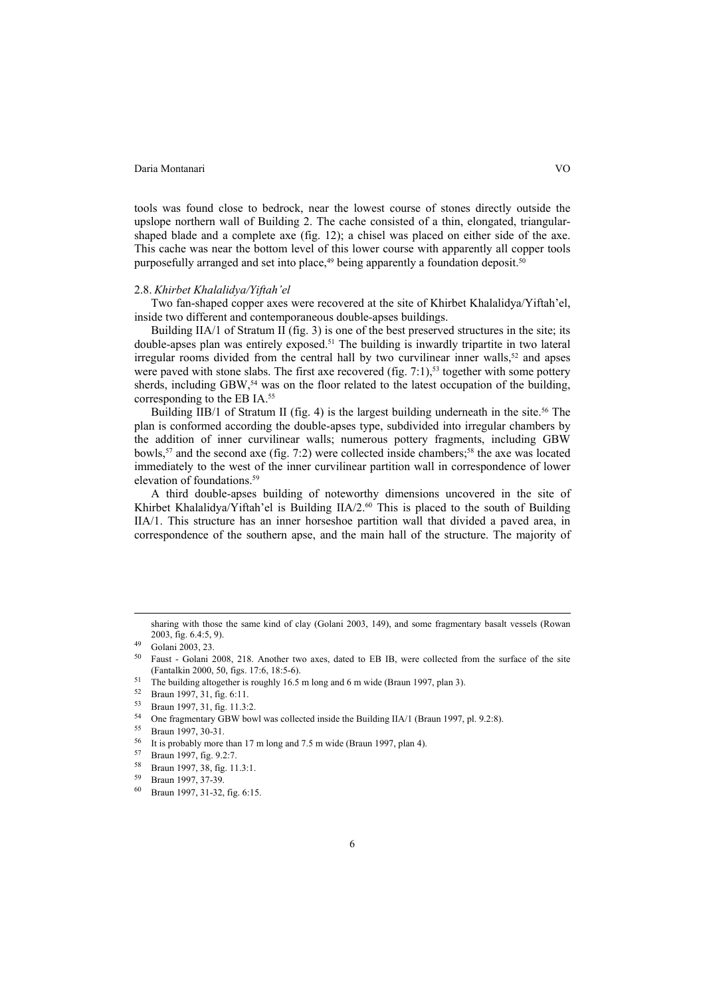tools was found close to bedrock, near the lowest course of stones directly outside the upslope northern wall of Building 2. The cache consisted of a thin, elongated, triangularshaped blade and a complete axe (fig. 12); a chisel was placed on either side of the axe. This cache was near the bottom level of this lower course with apparently all copper tools purposefully arranged and set into place, $49$  being apparently a foundation deposit.  $50$ 

## 2.8. *Khirbet Khalalidya/Yiftah'el*

Two fan-shaped copper axes were recovered at the site of Khirbet Khalalidya/Yiftah'el, inside two different and contemporaneous double-apses buildings.

Building IIA/1 of Stratum II (fig. 3) is one of the best preserved structures in the site; its double-apses plan was entirely exposed.<sup>51</sup> The building is inwardly tripartite in two lateral irregular rooms divided from the central hall by two curvilinear inner walls,  $52$  and apses were paved with stone slabs. The first axe recovered (fig.  $7:1$ ),<sup>53</sup> together with some pottery sherds, including GBW,<sup>54</sup> was on the floor related to the latest occupation of the building, corresponding to the EB IA.55

Building IIB/1 of Stratum II (fig. 4) is the largest building underneath in the site.<sup>56</sup> The plan is conformed according the double-apses type, subdivided into irregular chambers by the addition of inner curvilinear walls; numerous pottery fragments, including GBW bowls,<sup>57</sup> and the second axe (fig. 7:2) were collected inside chambers;<sup>58</sup> the axe was located immediately to the west of the inner curvilinear partition wall in correspondence of lower elevation of foundations.59

A third double-apses building of noteworthy dimensions uncovered in the site of Khirbet Khalalidya/Yiftah'el is Building  $IIA/2<sup>60</sup>$  This is placed to the south of Building IIA/1. This structure has an inner horseshoe partition wall that divided a paved area, in correspondence of the southern apse, and the main hall of the structure. The majority of

sharing with those the same kind of clay (Golani 2003, 149), and some fragmentary basalt vessels (Rowan 2003, fig. 6.4:5. 9).

 $^{49}$  Golani 2003, 23.

<sup>50</sup> Faust - Golani 2008, 218. Another two axes, dated to EB IB, were collected from the surface of the site (Fantalkin 2000, 50, figs. 17:6, 18:5-6).<br>
<sup>51</sup> The building altogether is roughly 16.5 m long and 6 m wide (Braun 1997, plan 3).<br>
<sup>52</sup> Braun 1997, 31, fig. 6:11.<br>
<sup>53</sup> Braun 1997, 31, fig. 6:11.

 $^{53}$  Braun 1997, 31, fig. 11.3:2.<br> $^{54}$  One freemontery GPW boy

<sup>54</sup> One fragmentary GBW bowl was collected inside the Building IIA/1 (Braun 1997, pl. 9.2:8).<br>55 Braun 1997, 30-31.<br>56 Braun help was the 17 m lane and 7.6 m with (Braun 1997, pln 4).

It is probably more than 17 m long and 7.5 m wide (Braun 1997, plan 4).

<sup>57</sup> Braun 1997, fig. 9.2:7.

<sup>&</sup>lt;sup>58</sup> Braun 1997, 38, fig. 11.3:1.<br><sup>59</sup> Braun 1007, 27, 20

Braun 1997, 37-39.

<sup>60</sup> Braun 1997, 31-32, fig. 6:15.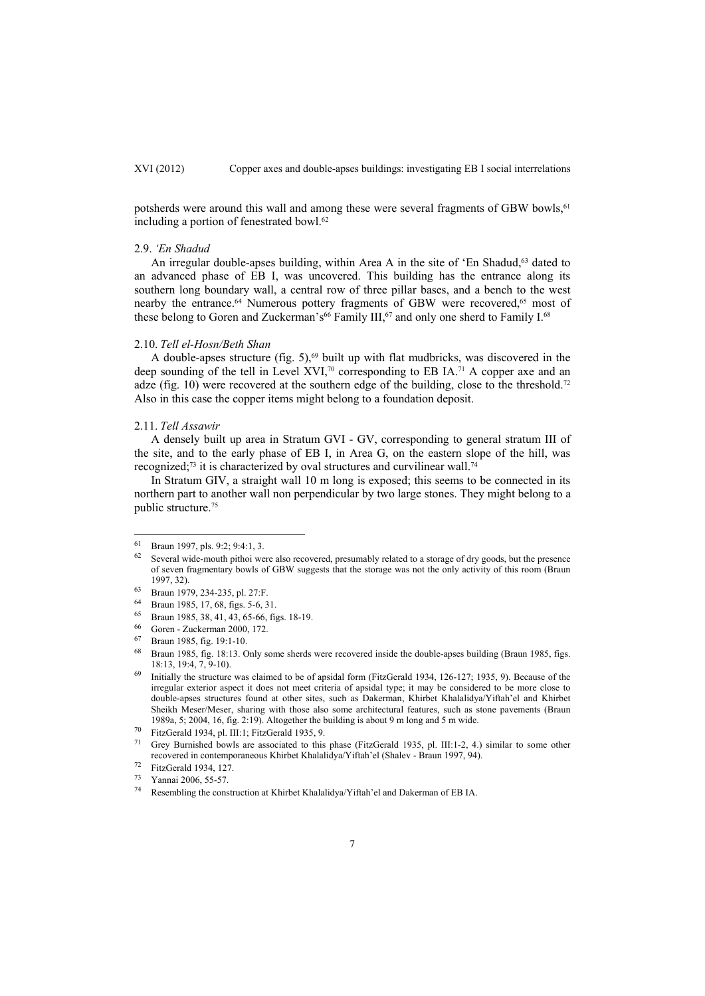potsherds were around this wall and among these were several fragments of GBW bowls,<sup>61</sup> including a portion of fenestrated bowl.<sup>62</sup>

#### 2.9. *'En Shadud*

An irregular double-apses building, within Area A in the site of 'En Shadud, $63$  dated to an advanced phase of EB I, was uncovered. This building has the entrance along its southern long boundary wall, a central row of three pillar bases, and a bench to the west nearby the entrance.<sup>64</sup> Numerous pottery fragments of GBW were recovered,<sup>65</sup> most of these belong to Goren and Zuckerman's<sup>66</sup> Family III,<sup>67</sup> and only one sherd to Family I.<sup>68</sup>

#### 2.10. *Tell el-Hosn/Beth Shan*

A double-apses structure (fig. 5), $69$  built up with flat mudbricks, was discovered in the deep sounding of the tell in Level XVI,<sup>70</sup> corresponding to EB IA.<sup>71</sup> A copper axe and an adze (fig. 10) were recovered at the southern edge of the building, close to the threshold.<sup>72</sup> Also in this case the copper items might belong to a foundation deposit.

#### 2.11. *Tell Assawir*

l

A densely built up area in Stratum GVI - GV, corresponding to general stratum III of the site, and to the early phase of EB I, in Area G, on the eastern slope of the hill, was recognized;<sup>73</sup> it is characterized by oval structures and curvilinear wall.<sup>74</sup>

In Stratum GIV, a straight wall 10 m long is exposed; this seems to be connected in its northern part to another wall non perpendicular by two large stones. They might belong to a public structure.75

<sup>61</sup> Braun 1997, pls. 9:2; 9:4:1, 3.

 $62$  Several wide-mouth pithoi were also recovered, presumably related to a storage of dry goods, but the presence of seven fragmentary bowls of GBW suggests that the storage was not the only activity of this room (Braun 1997, 32).<br><sup>63</sup> Braun 1979, 234-235, pl. 27:F.

<sup>64</sup> Braun 1985, 17, 68, figs. 5-6, 31.

<sup>65</sup> Braun 1985, 38, 41, 43, 65-66, figs. 18-19.

<sup>66</sup> Goren - Zuckerman 2000, 172.

<sup>67</sup> Braun 1985, fig. 19:1-10.

<sup>68</sup> Braun 1985, fig. 18:13. Only some sherds were recovered inside the double-apses building (Braun 1985, figs. 18:13, 19:4, 7, 9-10).<br>Initially the structure was claimed to be of apsidal form (FitzGerald 1934, 126-127; 1935, 9). Because of the

irregular exterior aspect it does not meet criteria of apsidal type; it may be considered to be more close to double-apses structures found at other sites, such as Dakerman, Khirbet Khalalidya/Yiftah'el and Khirbet Sheikh Meser/Meser, sharing with those also some architectural features, such as stone pavements (Braun 1989a, 5; 2004, 16, fig. 2:19). Altogether the building is about 9 m long and 5 m wide.<br><sup>70</sup> FitzGerald 1934, pl. III:1; FitzGerald 1935, 9.<br><sup>71</sup> Cray Burnished have are associated to this phase (FitzGarald 1935, pl. III:1

<sup>71</sup> Grey Burnished bowls are associated to this phase (FitzGerald 1935, pl. III:1-2, 4.) similar to some other recovered in contemporaneous Khirbet Khalalidya/Yiftah'el (Shalev - Braun 1997, 94). 72 FitzGerald 1934, 127.

<sup>73</sup> Yannai 2006, 55-57.

<sup>74</sup> Resembling the construction at Khirbet Khalalidya/Yiftah'el and Dakerman of EB IA.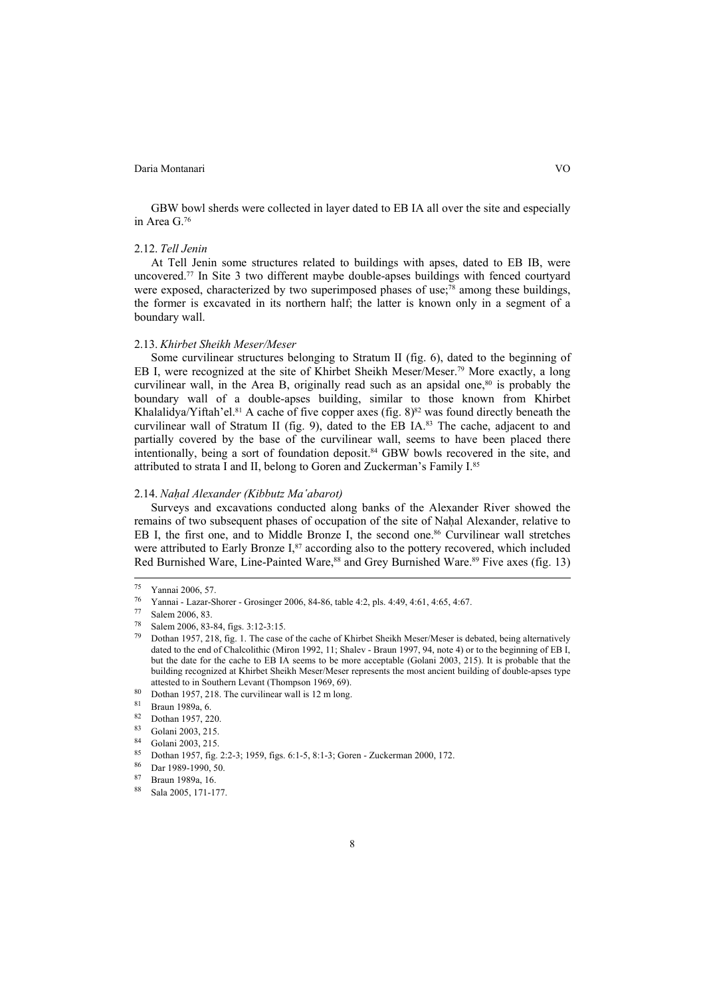GBW bowl sherds were collected in layer dated to EB IA all over the site and especially in Area G.76

#### 2.12. *Tell Jenin*

At Tell Jenin some structures related to buildings with apses, dated to EB IB, were uncovered.77 In Site 3 two different maybe double-apses buildings with fenced courtyard were exposed, characterized by two superimposed phases of use;<sup>78</sup> among these buildings, the former is excavated in its northern half; the latter is known only in a segment of a boundary wall.

#### 2.13. *Khirbet Sheikh Meser/Meser*

Some curvilinear structures belonging to Stratum II (fig. 6), dated to the beginning of EB I, were recognized at the site of Khirbet Sheikh Meser/Meser.79 More exactly, a long curvilinear wall, in the Area B, originally read such as an apsidal one, $80$  is probably the boundary wall of a double-apses building, similar to those known from Khirbet Khalalidya/Yiftah'el.<sup>81</sup> A cache of five copper axes (fig.  $8$ )<sup>82</sup> was found directly beneath the curvilinear wall of Stratum II (fig. 9), dated to the EB IA.<sup>83</sup> The cache, adjacent to and partially covered by the base of the curvilinear wall, seems to have been placed there intentionally, being a sort of foundation deposit.84 GBW bowls recovered in the site, and attributed to strata I and II, belong to Goren and Zuckerman's Family I.85

#### 2.14. *Naḥal Alexander (Kibbutz Ma'abarot)*

Surveys and excavations conducted along banks of the Alexander River showed the remains of two subsequent phases of occupation of the site of Naḥal Alexander, relative to EB I, the first one, and to Middle Bronze I, the second one.<sup>86</sup> Curvilinear wall stretches were attributed to Early Bronze I,<sup>87</sup> according also to the pottery recovered, which included Red Burnished Ware, Line-Painted Ware,<sup>88</sup> and Grey Burnished Ware.<sup>89</sup> Five axes (fig. 13)

 <sup>75</sup> Yannai 2006, 57. 76 Yannai - Lazar-Shorer - Grosinger 2006, 84-86, table 4:2, pls. 4:49, 4:61, 4:65, 4:67. 77 Salem 2006, 83.

<sup>&</sup>lt;sup>78</sup> Salem 2006, 83-84, figs. 3:12-3:15.<br><sup>79</sup> Dothan 1957, 218, fig. 1. The case of the cache of Khirbet Sheikh Meser/Meser is debated, being alternatively dated to the end of Chalcolithic (Miron 1992, 11; Shalev - Braun 1997, 94, note 4) or to the beginning of EB I, but the date for the cache to EB IA seems to be more acceptable (Golani 2003, 215). It is probable that the building recognized at Khirbet Sheikh Meser/Meser represents the most ancient building of double-apses type attested to in Southern Levant (Thompson 1969, 69).<br>
<sup>80</sup> Dothan 1957, 218. The curvilinear wall is 12 m long.<br>
<sup>81</sup> Braun 1989a, 6.<br>
22 Dothan 1957, 220.<br>
<sup>83</sup> Golani 2003, 215.<br>
<sup>84</sup> Golani 2003, 215.<br>
<sup>85</sup> Dothan 1957,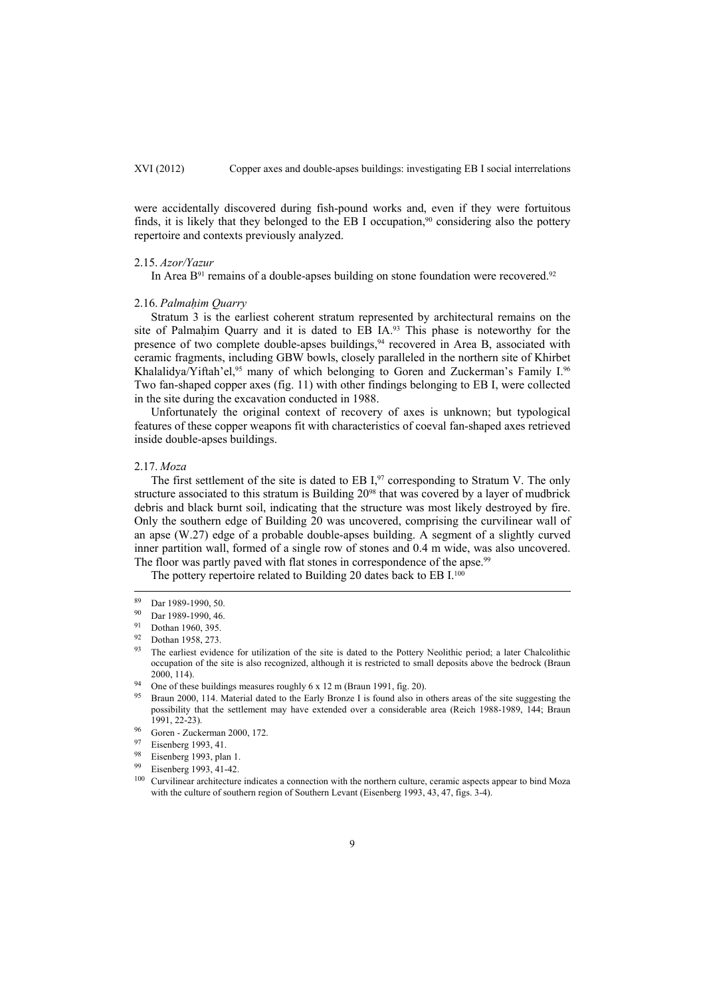were accidentally discovered during fish-pound works and, even if they were fortuitous finds, it is likely that they belonged to the EB I occupation,<sup>90</sup> considering also the pottery repertoire and contexts previously analyzed.

#### 2.15. *Azor/Yazur*

In Area  $B<sup>91</sup>$  remains of a double-apses building on stone foundation were recovered.<sup>92</sup>

#### 2.16. *Palmaḥim Quarry*

Stratum 3 is the earliest coherent stratum represented by architectural remains on the site of Palmaḥim Quarry and it is dated to EB IA.93 This phase is noteworthy for the presence of two complete double-apses buildings,<sup>94</sup> recovered in Area B, associated with ceramic fragments, including GBW bowls, closely paralleled in the northern site of Khirbet Khalalidya/Yiftah'el,<sup>95</sup> many of which belonging to Goren and Zuckerman's Family I.<sup>96</sup> Two fan-shaped copper axes (fig. 11) with other findings belonging to EB I, were collected in the site during the excavation conducted in 1988.

Unfortunately the original context of recovery of axes is unknown; but typological features of these copper weapons fit with characteristics of coeval fan-shaped axes retrieved inside double-apses buildings.

#### 2.17. *Moza*

The first settlement of the site is dated to EB  $I<sub>1</sub><sup>97</sup>$  corresponding to Stratum V. The only structure associated to this stratum is Building  $20<sup>98</sup>$  that was covered by a layer of mudbrick debris and black burnt soil, indicating that the structure was most likely destroyed by fire. Only the southern edge of Building 20 was uncovered, comprising the curvilinear wall of an apse (W.27) edge of a probable double-apses building. A segment of a slightly curved inner partition wall, formed of a single row of stones and 0.4 m wide, was also uncovered. The floor was partly paved with flat stones in correspondence of the apse.<sup>99</sup>

The pottery repertoire related to Building 20 dates back to EB I.<sup>100</sup>

 $\frac{89}{90}$  Dar 1989-1990, 50.<br>
Dar 1989-1990, 46.

<sup>91</sup> Dothan 1960, 395.<br>92 Dothan 1958, 273.

<sup>&</sup>lt;sup>93</sup> The earliest evidence for utilization of the site is dated to the Pottery Neolithic period; a later Chalcolithic occupation of the site is also recognized, although it is restricted to small deposits above the bedrock (Braun 2000, 114).<br>94 One of these buildings measures roughly 6 x 12 m (Braun 1991, fig. 20).<br>95 Braun 2000, 114. Material dated to the Early Bronze I is found also in others areas of the site suggesting the

possibility that the settlement may have extended over a considerable area (Reich 1988-1989, 144; Braun 1991, 22-23).<br>
96 Goren - Zuckerman 2000, 172.<br>
97 Eisenberg 1993, 41.<br>
98 Eisenberg 1993, plan 1.<br>
99 Eisenberg 1993, 41-42.<br>
<sup>99</sup> Eisenberg 1993, 41-42.<br>
<sup>100</sup> Curvilinear architecture indicates a connection with the no

with the culture of southern region of Southern Levant (Eisenberg 1993, 43, 47, figs. 3-4).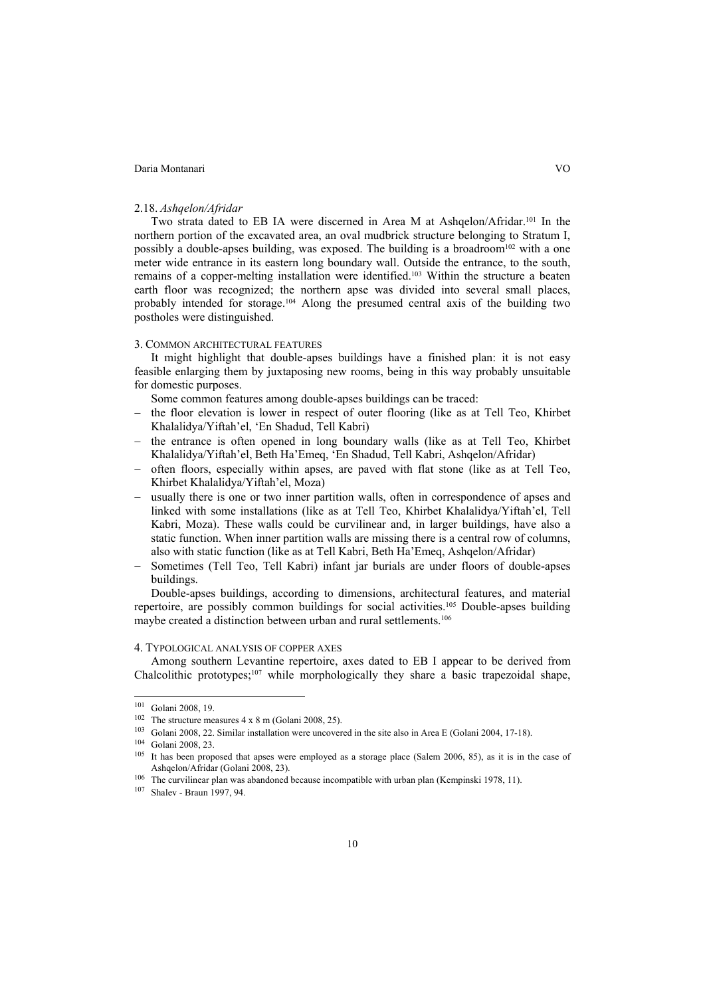### 2.18. *Ashqelon/Afridar*

Two strata dated to EB IA were discerned in Area M at Ashqelon/Afridar.101 In the northern portion of the excavated area, an oval mudbrick structure belonging to Stratum I, possibly a double-apses building, was exposed. The building is a broadroom<sup>102</sup> with a one meter wide entrance in its eastern long boundary wall. Outside the entrance, to the south, remains of a copper-melting installation were identified.103 Within the structure a beaten earth floor was recognized; the northern apse was divided into several small places, probably intended for storage.104 Along the presumed central axis of the building two postholes were distinguished.

#### 3. COMMON ARCHITECTURAL FEATURES

It might highlight that double-apses buildings have a finished plan: it is not easy feasible enlarging them by juxtaposing new rooms, being in this way probably unsuitable for domestic purposes.

Some common features among double-apses buildings can be traced:

- the floor elevation is lower in respect of outer flooring (like as at Tell Teo, Khirbet Khalalidya/Yiftah'el, 'En Shadud, Tell Kabri)
- the entrance is often opened in long boundary walls (like as at Tell Teo, Khirbet Khalalidya/Yiftah'el, Beth Ha'Emeq, 'En Shadud, Tell Kabri, Ashqelon/Afridar)
- $-$  often floors, especially within apses, are paved with flat stone (like as at Tell Teo, Khirbet Khalalidya/Yiftah'el, Moza)
- usually there is one or two inner partition walls, often in correspondence of apses and linked with some installations (like as at Tell Teo, Khirbet Khalalidya/Yiftah'el, Tell Kabri, Moza). These walls could be curvilinear and, in larger buildings, have also a static function. When inner partition walls are missing there is a central row of columns, also with static function (like as at Tell Kabri, Beth Ha'Emeq, Ashqelon/Afridar)
- Sometimes (Tell Teo, Tell Kabri) infant jar burials are under floors of double-apses buildings.

Double-apses buildings, according to dimensions, architectural features, and material repertoire, are possibly common buildings for social activities.105 Double-apses building maybe created a distinction between urban and rural settlements.<sup>106</sup>

### 4. TYPOLOGICAL ANALYSIS OF COPPER AXES

Among southern Levantine repertoire, axes dated to EB I appear to be derived from Chalcolithic prototypes;<sup>107</sup> while morphologically they share a basic trapezoidal shape,

<sup>&</sup>lt;sup>101</sup> Golani 2008, 19.<br><sup>102</sup> The structure measures 4 x 8 m (Golani 2008, 25).<br><sup>103</sup> Golani 2008, 22. Similar installation were uncovered in the site also in Area E (Golani 2004, 17-18).<br><sup>104</sup> Golani 2008, 23.<br><sup>105</sup> It ha

<sup>&</sup>lt;sup>106</sup> The curvilinear plan was abandoned because incompatible with urban plan (Kempinski 1978, 11). <sup>107</sup> Shalev - Braun 1997, 94.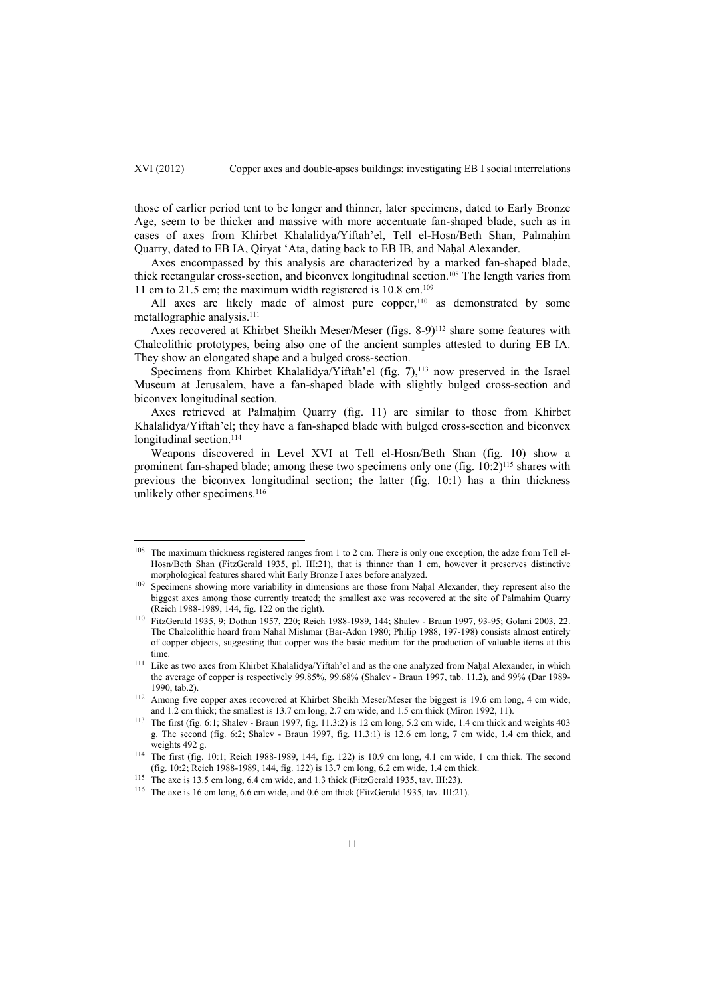those of earlier period tent to be longer and thinner, later specimens, dated to Early Bronze Age, seem to be thicker and massive with more accentuate fan-shaped blade, such as in cases of axes from Khirbet Khalalidya/Yiftah'el, Tell el-Hosn/Beth Shan, Palmahim Quarry, dated to EB IA, Qiryat 'Ata, dating back to EB IB, and Naḥal Alexander.

Axes encompassed by this analysis are characterized by a marked fan-shaped blade, thick rectangular cross-section, and biconvex longitudinal section.108 The length varies from 11 cm to 21.5 cm; the maximum width registered is 10.8 cm.109

All axes are likely made of almost pure copper,<sup>110</sup> as demonstrated by some metallographic analysis.<sup>111</sup>

Axes recovered at Khirbet Sheikh Meser/Meser (figs. 8-9)<sup>112</sup> share some features with Chalcolithic prototypes, being also one of the ancient samples attested to during EB IA. They show an elongated shape and a bulged cross-section.

Specimens from Khirbet Khalalidya/Yiftah'el (fig. 7), $^{113}$  now preserved in the Israel Museum at Jerusalem, have a fan-shaped blade with slightly bulged cross-section and biconvex longitudinal section.

Axes retrieved at Palmahim Quarry (fig. 11) are similar to those from Khirbet Khalalidya/Yiftah'el; they have a fan-shaped blade with bulged cross-section and biconvex longitudinal section.<sup>114</sup>

Weapons discovered in Level XVI at Tell el-Hosn/Beth Shan (fig. 10) show a prominent fan-shaped blade; among these two specimens only one (fig. 10:2)115 shares with previous the biconvex longitudinal section; the latter (fig. 10:1) has a thin thickness unlikely other specimens.<sup>116</sup>

<sup>&</sup>lt;sup>108</sup> The maximum thickness registered ranges from 1 to 2 cm. There is only one exception, the adze from Tell el-Hosn/Beth Shan (FitzGerald 1935, pl. III:21), that is thinner than 1 cm, however it preserves distinctive morphological features shared whit Early Bronze I axes before analyzed.<br><sup>109</sup> Specimens showing more variability in dimensions are those from Naḥal Alexander, they represent also the

biggest axes among those currently treated; the smallest axe was recovered at the site of Palmahim Quarry (Reich 1988-1989, 144, fig. 122 on the right). 110 FitzGerald 1935, 9; Dothan 1957, 220; Reich 1988-1989, 144; Shalev - Braun 1997, 93-95; Golani 2003, 22.

The Chalcolithic hoard from Nahal Mishmar (Bar-Adon 1980; Philip 1988, 197-198) consists almost entirely of copper objects, suggesting that copper was the basic medium for the production of valuable items at this

time.<br><sup>111</sup> Like as two axes from Khirbet Khalalidya/Yiftah'el and as the one analyzed from Naḥal Alexander, in which the average of copper is respectively 99.85%, 99.68% (Shalev - Braun 1997, tab. 11.2), and 99% (Dar 1989-

<sup>1990,</sup> tab.2). 112 Among five copper axes recovered at Khirbet Sheikh Meser/Meser the biggest is 19.6 cm long, 4 cm wide, and 1.2 cm thick; the smallest is 13.7 cm long, 2.7 cm wide, and 1.5 cm thick (Miron 1992, 11). <sup>113</sup> The first (fig. 6:1; Shalev - Braun 1997, fig. 11.3:2) is 12 cm long, 5.2 cm wide, 1.4 cm thick and weights 403

g. The second (fig. 6:2; Shalev - Braun 1997, fig. 11.3:1) is  $12.6$  cm long,  $7$  cm wide, 1.4 cm thick, and weights 492 g.

<sup>&</sup>lt;sup>114</sup> The first (fig. 10:1; Reich 1988-1989, 144, fig. 122) is 10.9 cm long, 4.1 cm wide, 1 cm thick. The second (fig. 10:2; Reich 1988-1989, 144, fig. 122) is 13.7 cm long, 6.2 cm wide, 1.4 cm thick.

<sup>&</sup>lt;sup>115</sup> The axe is 13.5 cm long, 6.4 cm wide, and 1.3 thick (FitzGerald 1935, tav. III:23).<br><sup>116</sup> The axe is 16 cm long, 6.6 cm wide, and 0.6 cm thick (FitzGerald 1935, tav. III:21).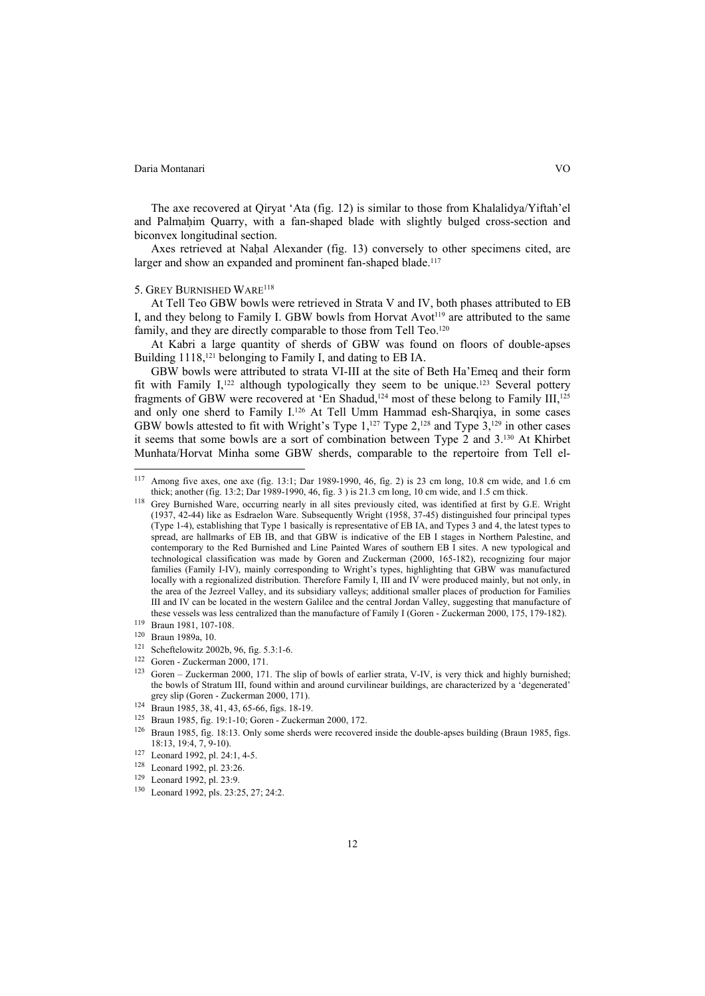The axe recovered at Qiryat 'Ata (fig. 12) is similar to those from Khalalidya/Yiftah'el and Palmahim Quarry, with a fan-shaped blade with slightly bulged cross-section and biconvex longitudinal section.

Axes retrieved at Naḥal Alexander (fig. 13) conversely to other specimens cited, are larger and show an expanded and prominent fan-shaped blade.<sup>117</sup>

# 5. GREY BURNISHED WARE118

At Tell Teo GBW bowls were retrieved in Strata V and IV, both phases attributed to EB I, and they belong to Family I. GBW bowls from Horvat Avot<sup>119</sup> are attributed to the same family, and they are directly comparable to those from Tell Teo.<sup>120</sup>

At Kabri a large quantity of sherds of GBW was found on floors of double-apses Building 1118,<sup>121</sup> belonging to Family I, and dating to EB IA.

GBW bowls were attributed to strata VI-III at the site of Beth Ha'Emeq and their form fit with Family  $I<sub>122</sub>$  although typologically they seem to be unique.<sup>123</sup> Several pottery fragments of GBW were recovered at 'En Shadud,<sup>124</sup> most of these belong to Family III,<sup>125</sup> and only one sherd to Family I.126 At Tell Umm Hammad esh-Sharqiya, in some cases GBW bowls attested to fit with Wright's Type  $1,127$  Type  $2,128$  and Type  $3,129$  in other cases it seems that some bowls are a sort of combination between Type 2 and 3.130 At Khirbet Munhata/Horvat Minha some GBW sherds, comparable to the repertoire from Tell el-

<sup>117</sup> Among five axes, one axe (fig. 13:1; Dar 1989-1990, 46, fig. 2) is 23 cm long, 10.8 cm wide, and 1.6 cm thick; another (fig. 13:2; Dar 1989-1990, 46, fig. 3) is 21.3 cm long, 10 cm wide, and 1.5 cm thick.

<sup>&</sup>lt;sup>118</sup> Grey Burnished Ware, occurring nearly in all sites previously cited, was identified at first by G.E. Wright (1937, 42-44) like as Esdraelon Ware. Subsequently Wright (1958, 37-45) distinguished four principal types (Type 1-4), establishing that Type 1 basically is representative of EB IA, and Types 3 and 4, the latest types to spread, are hallmarks of EB IB, and that GBW is indicative of the EB I stages in Northern Palestine, and contemporary to the Red Burnished and Line Painted Wares of southern EB I sites. A new typological and technological classification was made by Goren and Zuckerman (2000, 165-182), recognizing four major families (Family I-IV), mainly corresponding to Wright's types, highlighting that GBW was manufactured locally with a regionalized distribution. Therefore Family I, III and IV were produced mainly, but not only, in the area of the Jezreel Valley, and its subsidiary valleys; additional smaller places of production for Families III and IV can be located in the western Galilee and the central Jordan Valley, suggesting that manufacture of these vessels was less centralized than the manufacture of Family I (Goren - Zuckerman 2000, 175, 179-182).<br>
<sup>119</sup> Braun 1981, 107-108.<br>
<sup>120</sup> Braun 1989a, 10.<br>
<sup>120</sup> Scheftelowitz 2002b, 96, fig. 5.3:1-6.<br>
<sup>121</sup> Scheftelo

the bowls of Stratum III, found within and around curvilinear buildings, are characterized by a 'degenerated'

grey slip (Goren - Zuckerman 2000, 171).<br>
<sup>124</sup> Braun 1985, 38, 41, 43, 65-66, figs. 18-19.<br>
<sup>125</sup> Braun 1985, fig. 19:1-10; Goren - Zuckerman 2000, 172.<br>
<sup>126</sup> Braun 1985, fig. 18:13. Only some sherds were recovered insid

<sup>127</sup> Leonard 1992, pl. 24:1, 4-5.<br>
128 Leonard 1992, pl. 23:26.<br>
129 Leonard 1992, pl. 23:9.<br>
130 Leonard 1992, pls. 23:25, 27; 24:2.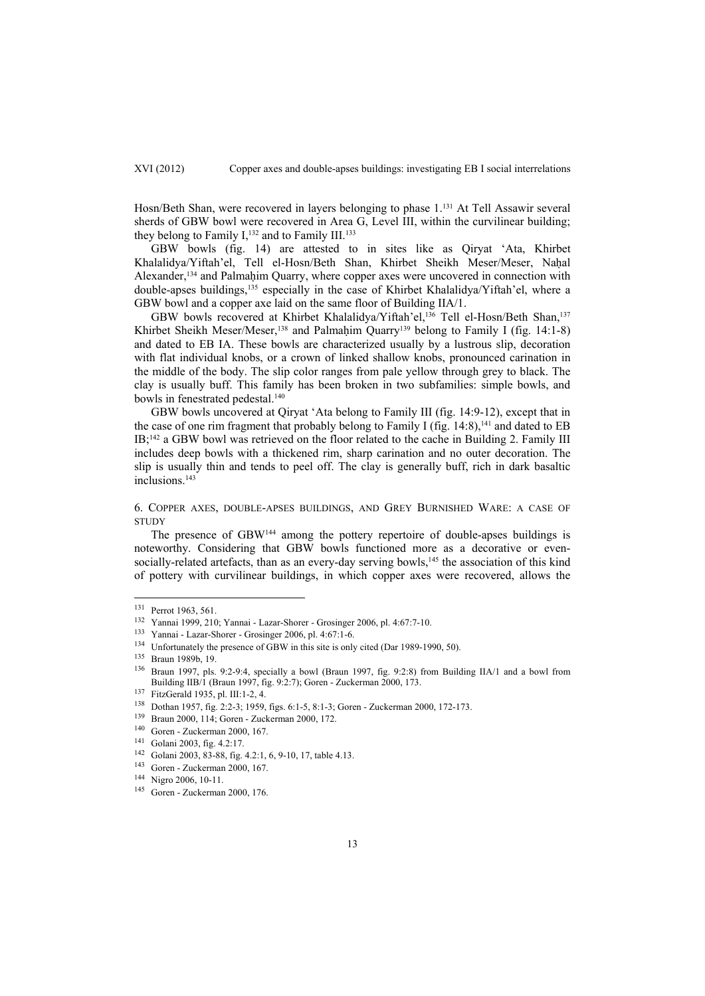Hosn/Beth Shan, were recovered in layers belonging to phase 1.131 At Tell Assawir several sherds of GBW bowl were recovered in Area G, Level III, within the curvilinear building; they belong to Family  $I<sub>132</sub>$  and to Family III.<sup>133</sup>

GBW bowls (fig. 14) are attested to in sites like as Qiryat 'Ata, Khirbet Khalalidya/Yiftah'el, Tell el-Hosn/Beth Shan, Khirbet Sheikh Meser/Meser, Naḥal Alexander,<sup>134</sup> and Palmaḥim Quarry, where copper axes were uncovered in connection with double-apses buildings,135 especially in the case of Khirbet Khalalidya/Yiftah'el, where a GBW bowl and a copper axe laid on the same floor of Building IIA/1.

GBW bowls recovered at Khirbet Khalalidya/Yiftah'el,136 Tell el-Hosn/Beth Shan,137 Khirbet Sheikh Meser/Meser,<sup>138</sup> and Palmaḥim Quarry<sup>139</sup> belong to Family I (fig. 14:1-8) and dated to EB IA. These bowls are characterized usually by a lustrous slip, decoration with flat individual knobs, or a crown of linked shallow knobs, pronounced carination in the middle of the body. The slip color ranges from pale yellow through grey to black. The clay is usually buff. This family has been broken in two subfamilies: simple bowls, and bowls in fenestrated pedestal.140

GBW bowls uncovered at Qiryat 'Ata belong to Family III (fig. 14:9-12), except that in the case of one rim fragment that probably belong to Family I (fig.  $14:8$ ),<sup>141</sup> and dated to EB IB;142 a GBW bowl was retrieved on the floor related to the cache in Building 2. Family III includes deep bowls with a thickened rim, sharp carination and no outer decoration. The slip is usually thin and tends to peel off. The clay is generally buff, rich in dark basaltic inclusions.143

# 6. COPPER AXES, DOUBLE-APSES BUILDINGS, AND GREY BURNISHED WARE: A CASE OF **STUDY**

The presence of GBW144 among the pottery repertoire of double-apses buildings is noteworthy. Considering that GBW bowls functioned more as a decorative or evensocially-related artefacts, than as an every-day serving bowls,<sup>145</sup> the association of this kind of pottery with curvilinear buildings, in which copper axes were recovered, allows the

<sup>&</sup>lt;sup>131</sup> Perrot 1963, 561.<br>
<sup>132</sup> Yannai 1999, 210; Yannai - Lazar-Shorer - Grosinger 2006, pl. 4:67:7-10.<br>
<sup>133</sup> Yannai - Lazar-Shorer - Grosinger 2006, pl. 4:67:1-6.<br>
<sup>134</sup> Unfortunately the presence of GBW in this site is Building IIB/1 (Braun 1997, fig. 9:2:7); Goren - Zuckerman 2000, 173.<br>
<sup>137</sup> FitzGerald 1935, pl. III:1-2, 4.<br>
<sup>138</sup> Dothan 1957, fig. 2:2-3; 1959, figs. 6:1-5, 8:1-3; Goren - Zuckerman 2000, 172-173.<br>
<sup>139</sup> Braun 2000, 11

<sup>&</sup>lt;sup>144</sup> Nigro 2006, 10-11.<br><sup>145</sup> Goren - Zuckerman 2000, 176.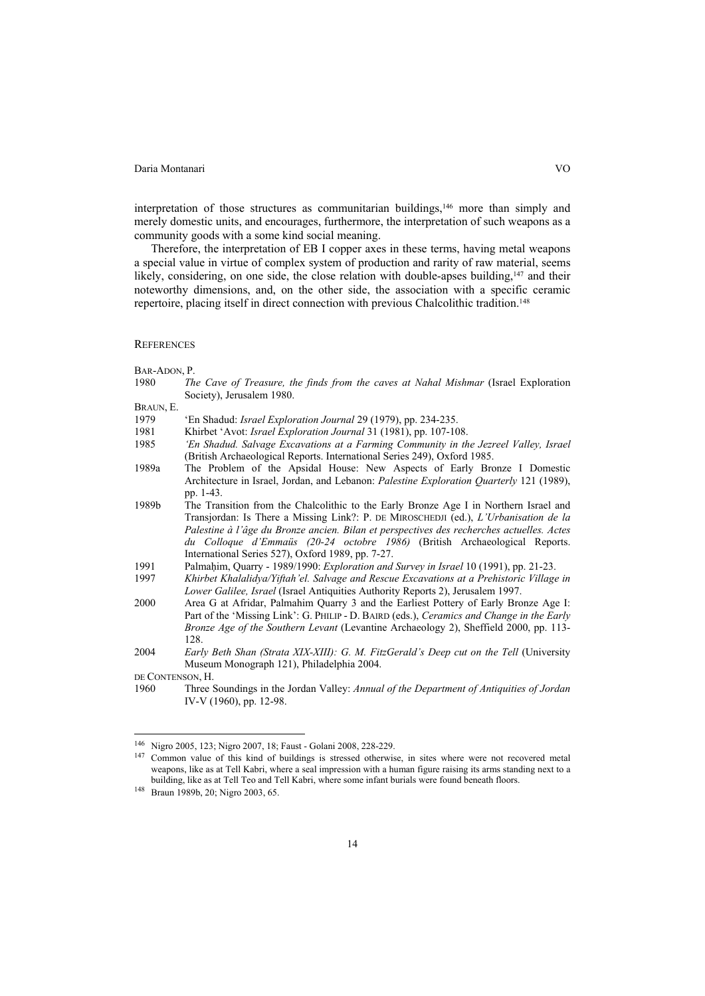interpretation of those structures as communitarian buildings,<sup>146</sup> more than simply and merely domestic units, and encourages, furthermore, the interpretation of such weapons as a community goods with a some kind social meaning.

Therefore, the interpretation of EB I copper axes in these terms, having metal weapons a special value in virtue of complex system of production and rarity of raw material, seems likely, considering, on one side, the close relation with double-apses building,<sup>147</sup> and their noteworthy dimensions, and, on the other side, the association with a specific ceramic repertoire, placing itself in direct connection with previous Chalcolithic tradition.148

#### **REFERENCES**

#### BAR-ADON, P.

1980 *The Cave of Treasure, the finds from the caves at Nahal Mishmar* (Israel Exploration Society), Jerusalem 1980.

# BRAUN, E.

- 1979 'En Shadud: *Israel Exploration Journal* 29 (1979), pp. 234-235.
- 1981 Khirbet 'Avot: *Israel Exploration Journal* 31 (1981), pp. 107-108.
- 1985 *'En Shadud. Salvage Excavations at a Farming Community in the Jezreel Valley, Israel* (British Archaeological Reports. International Series 249), Oxford 1985.
- 1989a The Problem of the Apsidal House: New Aspects of Early Bronze I Domestic Architecture in Israel, Jordan, and Lebanon: *Palestine Exploration Quarterly* 121 (1989), pp. 1-43.
- 1989b The Transition from the Chalcolithic to the Early Bronze Age I in Northern Israel and Transjordan: Is There a Missing Link?: P. DE MIROSCHEDJI (ed.), *L'Urbanisation de la Palestine à l'âge du Bronze ancien. Bilan et perspectives des recherches actuelles. Actes du Colloque d'Emmaüs (20-24 octobre 1986)* (British Archaeological Reports. International Series 527), Oxford 1989, pp. 7-27.
- 1991 Palmaḥim, Quarry 1989/1990: *Exploration and Survey in Israel* 10 (1991), pp. 21-23.
- 1997 *Khirbet Khalalidya/Yiftah'el. Salvage and Rescue Excavations at a Prehistoric Village in Lower Galilee, Israel* (Israel Antiquities Authority Reports 2), Jerusalem 1997.
- 2000 Area G at Afridar, Palmahim Quarry 3 and the Earliest Pottery of Early Bronze Age I: Part of the 'Missing Link': G. PHILIP - D. BAIRD (eds.), *Ceramics and Change in the Early Bronze Age of the Southern Levant* (Levantine Archaeology 2), Sheffield 2000, pp. 113- 128.
- 2004 *Early Beth Shan (Strata XIX-XIII): G. M. FitzGerald's Deep cut on the Tell* (University Museum Monograph 121), Philadelphia 2004.

DE CONTENSON, H.

 $\overline{a}$ 

1960 Three Soundings in the Jordan Valley: *Annual of the Department of Antiquities of Jordan* IV-V (1960), pp. 12-98.

<sup>146</sup> Nigro 2005, 123; Nigro 2007, 18; Faust - Golani 2008, 228-229. 147 Common value of this kind of buildings is stressed otherwise, in sites where were not recovered metal weapons, like as at Tell Kabri, where a seal impression with a human figure raising its arms standing next to a building, like as at Tell Teo and Tell Kabri, where some infant burials were found beneath floors. 148 Braun 1989b, 20; Nigro 2003, 65.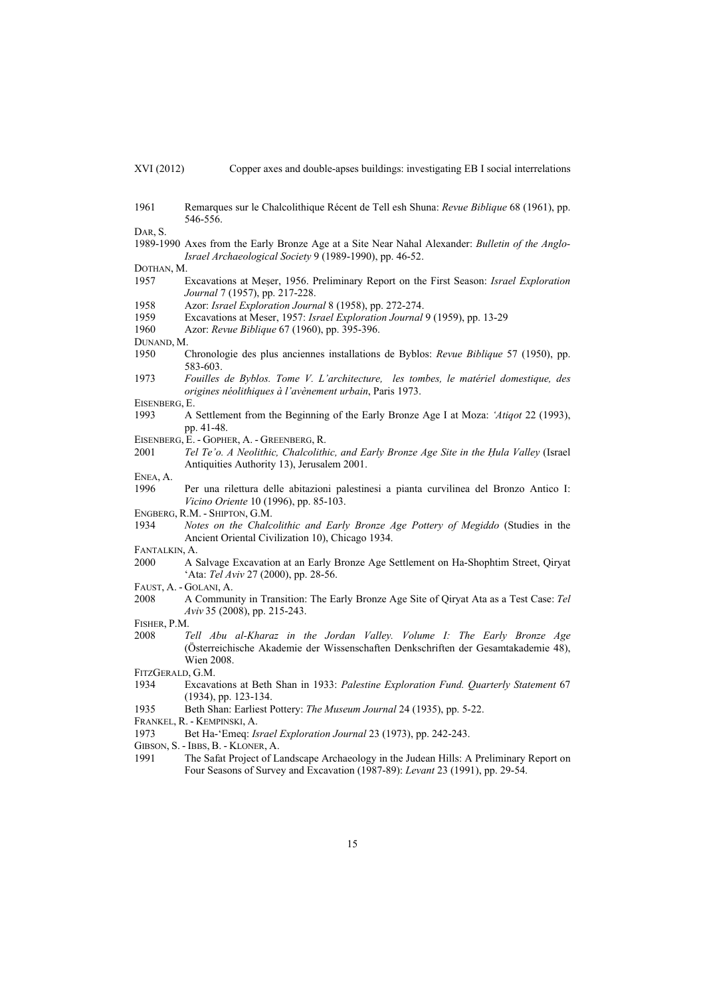| (VI (2012) |  |
|------------|--|
|            |  |

1961 Remarques sur le Chalcolithique Récent de Tell esh Shuna: *Revue Biblique* 68 (1961), pp. 546-556.

DAR, S.

1989-1990 Axes from the Early Bronze Age at a Site Near Nahal Alexander: *Bulletin of the Anglo-Israel Archaeological Society* 9 (1989-1990), pp. 46-52.

DOTHAN, M.

- 1957 Excavations at Meṣer, 1956. Preliminary Report on the First Season: *Israel Exploration Journal* 7 (1957), pp. 217-228.
- 1958 Azor: *Israel Exploration Journal* 8 (1958), pp. 272-274.
- 1959 Excavations at Meser, 1957: *Israel Exploration Journal* 9 (1959), pp. 13-29
- 1960 Azor: *Revue Biblique* 67 (1960), pp. 395-396.
- DUNAND, M.
- 1950 Chronologie des plus anciennes installations de Byblos: *Revue Biblique* 57 (1950), pp. 583-603.
- 1973 *Fouilles de Byblos. Tome V. L'architecture, les tombes, le matériel domestique, des origines néolithiques à l'avènement urbain*, Paris 1973.

EISENBERG, E.

- 1993 A Settlement from the Beginning of the Early Bronze Age I at Moza: *'Atiqot* 22 (1993), pp. 41-48.
- EISENBERG, E. GOPHER, A. GREENBERG, R.
- 2001 *Tel Te'o. A Neolithic, Chalcolithic, and Early Bronze Age Site in the Ḥula Valley* (Israel Antiquities Authority 13), Jerusalem 2001.
- ENEA, A.
- 1996 Per una rilettura delle abitazioni palestinesi a pianta curvilinea del Bronzo Antico I: *Vicino Oriente* 10 (1996), pp. 85-103.
- ENGBERG, R.M. SHIPTON, G.M.
- 1934 *Notes on the Chalcolithic and Early Bronze Age Pottery of Megiddo* (Studies in the Ancient Oriental Civilization 10), Chicago 1934.

FANTALKIN, A.

- 2000 A Salvage Excavation at an Early Bronze Age Settlement on Ha-Shophtim Street, Qiryat 'Ata: *Tel Aviv* 27 (2000), pp. 28-56.
- FAUST, A. GOLANI, A.
- 2008 A Community in Transition: The Early Bronze Age Site of Qiryat Ata as a Test Case: *Tel Aviv* 35 (2008), pp. 215-243.
- FISHER, P.M.
- 2008 *Tell Abu al-Kharaz in the Jordan Valley. Volume I: The Early Bronze Age* (Österreichische Akademie der Wissenschaften Denkschriften der Gesamtakademie 48), Wien 2008.
- FITZGERALD, G.M.
- 1934 Excavations at Beth Shan in 1933: *Palestine Exploration Fund. Quarterly Statement* 67 (1934), pp. 123-134.
- 1935 Beth Shan: Earliest Pottery: *The Museum Journal* 24 (1935), pp. 5-22.
- FRANKEL, R. KEMPINSKI, A.
- 1973 Bet Ha-'Emeq: *Israel Exploration Journal* 23 (1973), pp. 242-243.
- GIBSON, S. IBBS, B. KLONER, A.
- 1991 The Safat Project of Landscape Archaeology in the Judean Hills: A Preliminary Report on Four Seasons of Survey and Excavation (1987-89): *Levant* 23 (1991), pp. 29-54.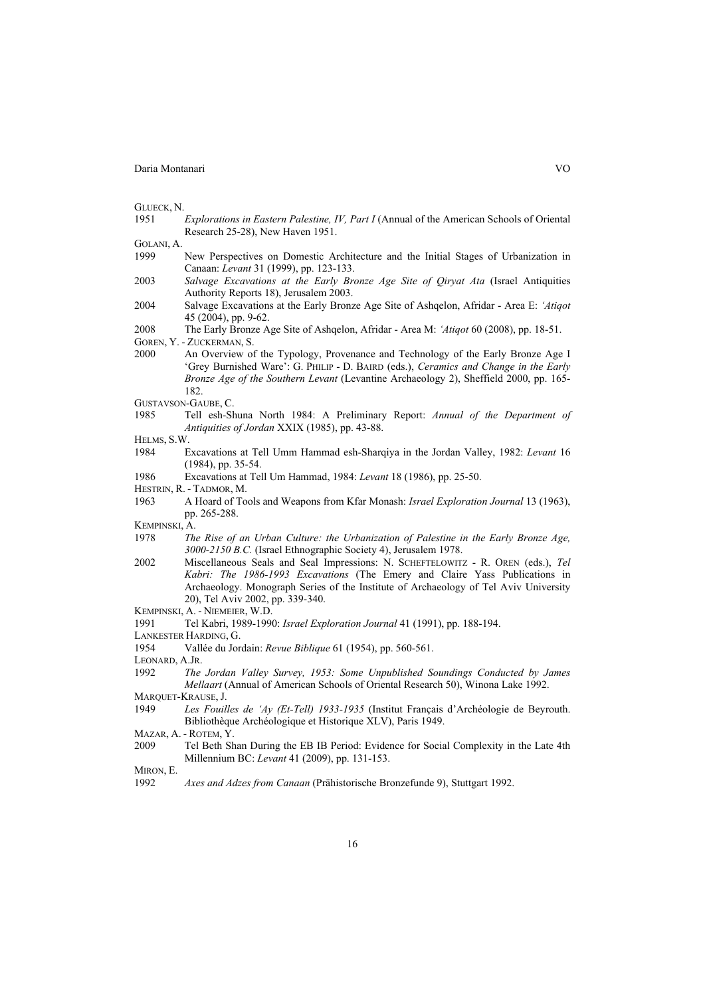|  | GLUECK. N. |  |
|--|------------|--|
|--|------------|--|

- 1951 *Explorations in Eastern Palestine, IV, Part I* (Annual of the American Schools of Oriental Research 25-28), New Haven 1951.
- GOLANI, A.
- 1999 New Perspectives on Domestic Architecture and the Initial Stages of Urbanization in Canaan: *Levant* 31 (1999), pp. 123-133.
- 2003 *Salvage Excavations at the Early Bronze Age Site of Qiryat Ata* (Israel Antiquities Authority Reports 18), Jerusalem 2003.
- 2004 Salvage Excavations at the Early Bronze Age Site of Ashqelon, Afridar Area E: *'Atiqot* 45 (2004), pp. 9-62.
- 2008 The Early Bronze Age Site of Ashqelon, Afridar Area M: *'Atiqot* 60 (2008), pp. 18-51.
- GOREN, Y. ZUCKERMAN, S.
- 2000 An Overview of the Typology, Provenance and Technology of the Early Bronze Age I 'Grey Burnished Ware': G. PHILIP - D. BAIRD (eds.), *Ceramics and Change in the Early Bronze Age of the Southern Levant* (Levantine Archaeology 2), Sheffield 2000, pp. 165- 182.
- GUSTAVSON-GAUBE, C.
- 1985 Tell esh-Shuna North 1984: A Preliminary Report: *Annual of the Department of Antiquities of Jordan* XXIX (1985), pp. 43-88.
- HELMS, S.W.
- 1984 Excavations at Tell Umm Hammad esh-Sharqiya in the Jordan Valley, 1982: *Levant* 16 (1984), pp. 35-54.
- 1986 Excavations at Tell Um Hammad, 1984: *Levant* 18 (1986), pp. 25-50.
- HESTRIN, R. TADMOR, M.
- 1963 A Hoard of Tools and Weapons from Kfar Monash: *Israel Exploration Journal* 13 (1963), pp. 265-288.
- KEMPINSKI, A.
- 1978 *The Rise of an Urban Culture: the Urbanization of Palestine in the Early Bronze Age, 3000-2150 B.C.* (Israel Ethnographic Society 4), Jerusalem 1978.
- 2002 Miscellaneous Seals and Seal Impressions: N. SCHEFTELOWITZ R. OREN (eds.), *Tel Kabri: The 1986-1993 Excavations* (The Emery and Claire Yass Publications in Archaeology. Monograph Series of the Institute of Archaeology of Tel Aviv University 20), Tel Aviv 2002, pp. 339-340.
- KEMPINSKI, A. NIEMEIER, W.D.
- 1991 Tel Kabri, 1989-1990: *Israel Exploration Journal* 41 (1991), pp. 188-194.
- LANKESTER HARDING, G.
- 1954 Vallée du Jordain: *Revue Biblique* 61 (1954), pp. 560-561.
- LEONARD, A.JR.
- 1992 *The Jordan Valley Survey, 1953: Some Unpublished Soundings Conducted by James Mellaart* (Annual of American Schools of Oriental Research 50), Winona Lake 1992.
- MARQUET-KRAUSE, J.
- 1949 *Les Fouilles de 'Ay (Et-Tell) 1933-1935* (Institut Français d'Archéologie de Beyrouth. Bibliothèque Archéologique et Historique XLV), Paris 1949.
- MAZAR, A. ROTEM, Y.
- 2009 Tel Beth Shan During the EB IB Period: Evidence for Social Complexity in the Late 4th Millennium BC: *Levant* 41 (2009), pp. 131-153.
- MIRON, E.
- 1992 *Axes and Adzes from Canaan* (Prähistorische Bronzefunde 9), Stuttgart 1992.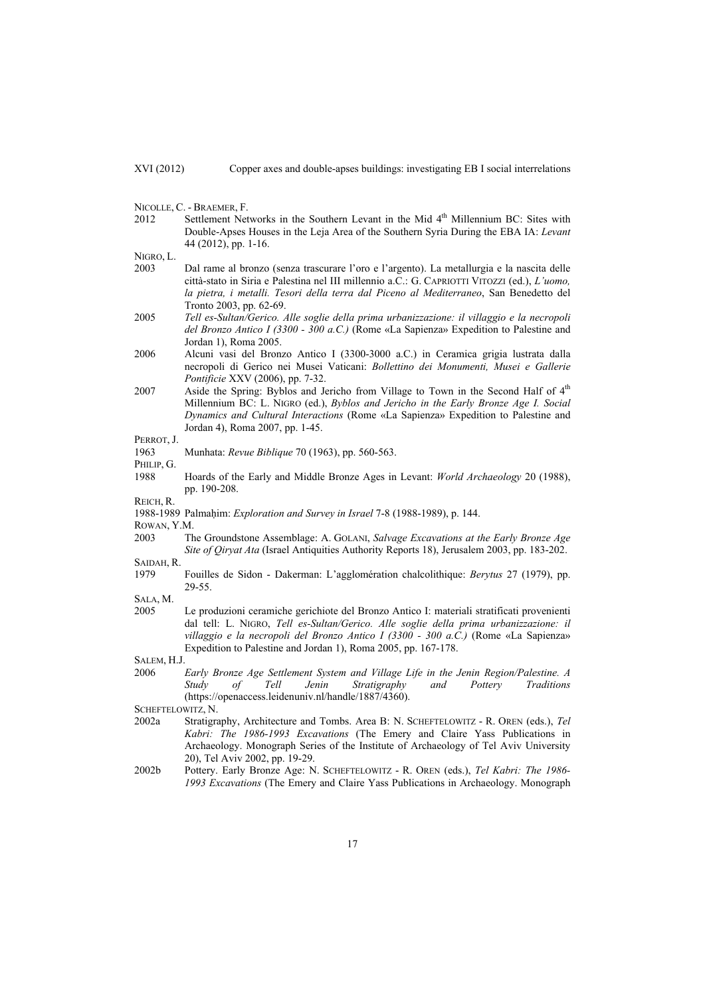- NICOLLE, C. BRAEMER, F.
- 2012 Settlement Networks in the Southern Levant in the Mid 4<sup>th</sup> Millennium BC: Sites with Double-Apses Houses in the Leja Area of the Southern Syria During the EBA IA: *Levant* 44 (2012), pp. 1-16.

NIGRO, L.

- 2003 Dal rame al bronzo (senza trascurare l'oro e l'argento). La metallurgia e la nascita delle città-stato in Siria e Palestina nel III millennio a.C.: G. CAPRIOTTI VITOZZI (ed.), *L'uomo, la pietra, i metalli. Tesori della terra dal Piceno al Mediterraneo*, San Benedetto del Tronto 2003, pp. 62-69.
- 2005 *Tell es-Sultan/Gerico. Alle soglie della prima urbanizzazione: il villaggio e la necropoli del Bronzo Antico I (3300 - 300 a.C.)* (Rome «La Sapienza» Expedition to Palestine and Jordan 1), Roma 2005.
- 2006 Alcuni vasi del Bronzo Antico I (3300-3000 a.C.) in Ceramica grigia lustrata dalla necropoli di Gerico nei Musei Vaticani: *Bollettino dei Monumenti, Musei e Gallerie Pontificie* XXV (2006), pp. 7-32.
- 2007 Aside the Spring: Byblos and Jericho from Village to Town in the Second Half of  $4<sup>th</sup>$ Millennium BC: L. NIGRO (ed.), *Byblos and Jericho in the Early Bronze Age I. Social Dynamics and Cultural Interactions* (Rome «La Sapienza» Expedition to Palestine and Jordan 4), Roma 2007, pp. 1-45.

1963 Munhata: *Revue Biblique* 70 (1963), pp. 560-563.

PHILIP, G.

1988 Hoards of the Early and Middle Bronze Ages in Levant: *World Archaeology* 20 (1988), pp. 190-208.

REICH, R.

1988-1989 Palmaḥim: *Exploration and Survey in Israel* 7-8 (1988-1989), p. 144.

ROWAN, Y.M.

2003 The Groundstone Assemblage: A. GOLANI, *Salvage Excavations at the Early Bronze Age Site of Qiryat Ata* (Israel Antiquities Authority Reports 18), Jerusalem 2003, pp. 183-202.

SAIDAH, R.

1979 Fouilles de Sidon - Dakerman: L'agglomération chalcolithique: *Berytus* 27 (1979), pp. 29-55.

SALA, M.

2005 Le produzioni ceramiche gerichiote del Bronzo Antico I: materiali stratificati provenienti dal tell: L. NIGRO, *Tell es-Sultan/Gerico. Alle soglie della prima urbanizzazione: il villaggio e la necropoli del Bronzo Antico I (3300 - 300 a.C.)* (Rome «La Sapienza» Expedition to Palestine and Jordan 1), Roma 2005, pp. 167-178.

SALEM, H.J.

2006 *Early Bronze Age Settlement System and Village Life in the Jenin Region/Palestine. A Study of Tell Jenin Stratigraphy and Pottery Traditions* (https://openaccess.leidenuniv.nl/handle/1887/4360).

SCHEFTELOWITZ, N.<br>2002a Stratigra

- 2002a Stratigraphy, Architecture and Tombs. Area B: N. SCHEFTELOWITZ R. OREN (eds.), *Tel Kabri: The 1986-1993 Excavations* (The Emery and Claire Yass Publications in Archaeology. Monograph Series of the Institute of Archaeology of Tel Aviv University 20), Tel Aviv 2002, pp. 19-29.
- 2002b Pottery. Early Bronze Age: N. SCHEFTELOWITZ R. OREN (eds.), *Tel Kabri: The 1986- 1993 Excavations* (The Emery and Claire Yass Publications in Archaeology. Monograph

PERROT, I.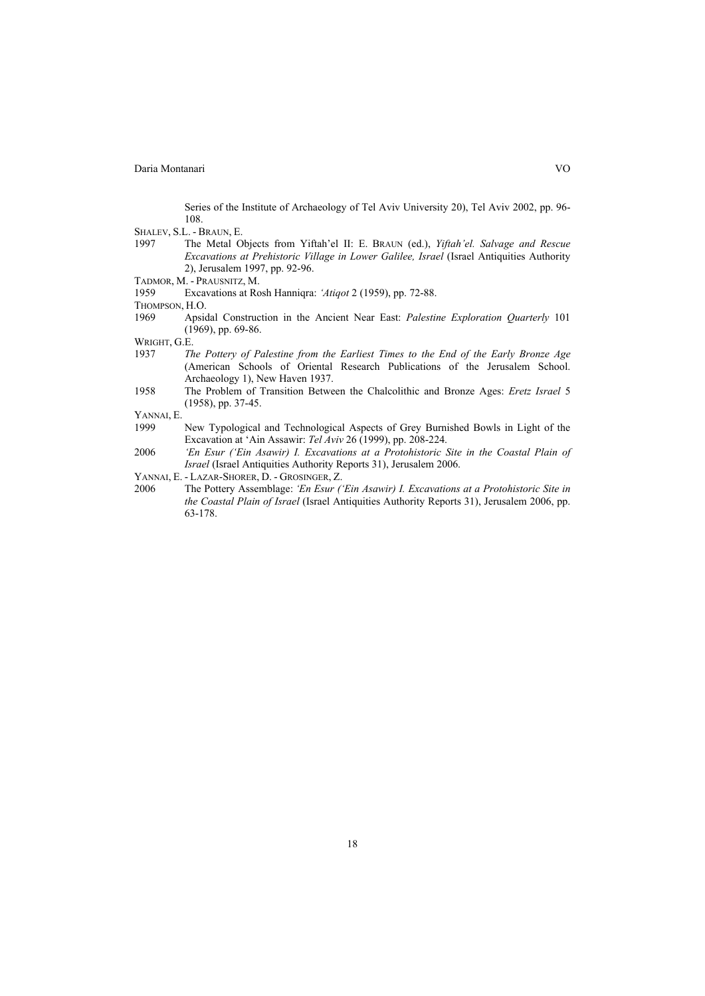Series of the Institute of Archaeology of Tel Aviv University 20), Tel Aviv 2002, pp. 96- 108.

- SHALEV, S.L. BRAUN, E.
- 1997 The Metal Objects from Yiftah'el II: E. BRAUN (ed.), *Yiftah'el. Salvage and Rescue Excavations at Prehistoric Village in Lower Galilee, Israel* (Israel Antiquities Authority 2), Jerusalem 1997, pp. 92-96.
- TADMOR, M. PRAUSNITZ, M.
- 1959 Excavations at Rosh Hanniqra: *'Atiqot* 2 (1959), pp. 72-88.
- THOMPSON, H.O.
- 1969 Apsidal Construction in the Ancient Near East: *Palestine Exploration Quarterly* 101 (1969), pp. 69-86.

WRIGHT, G.E.

- 1937 *The Pottery of Palestine from the Earliest Times to the End of the Early Bronze Age* (American Schools of Oriental Research Publications of the Jerusalem School. Archaeology 1), New Haven 1937.
- 1958 The Problem of Transition Between the Chalcolithic and Bronze Ages: *Eretz Israel* 5 (1958), pp. 37-45.
- YANNAI, E.
- 1999 New Typological and Technological Aspects of Grey Burnished Bowls in Light of the Excavation at 'Ain Assawir: *Tel Aviv* 26 (1999), pp. 208-224.
- 2006 *'En Esur ('Ein Asawir) I. Excavations at a Protohistoric Site in the Coastal Plain of Israel* (Israel Antiquities Authority Reports 31), Jerusalem 2006.
- YANNAI, E. LAZAR-SHORER, D. GROSINGER, Z.
- 2006 The Pottery Assemblage: *'En Esur ('Ein Asawir) I. Excavations at a Protohistoric Site in the Coastal Plain of Israel* (Israel Antiquities Authority Reports 31), Jerusalem 2006, pp. 63-178.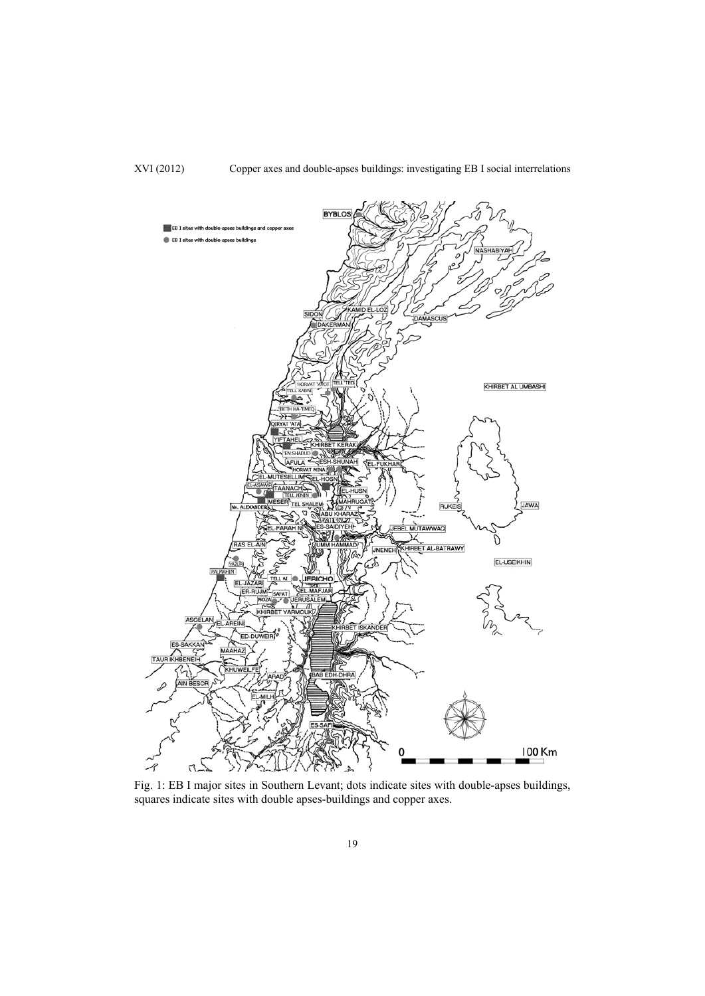

Fig. 1: EB I major sites in Southern Levant; dots indicate sites with double-apses buildings, squares indicate sites with double apses-buildings and copper axes.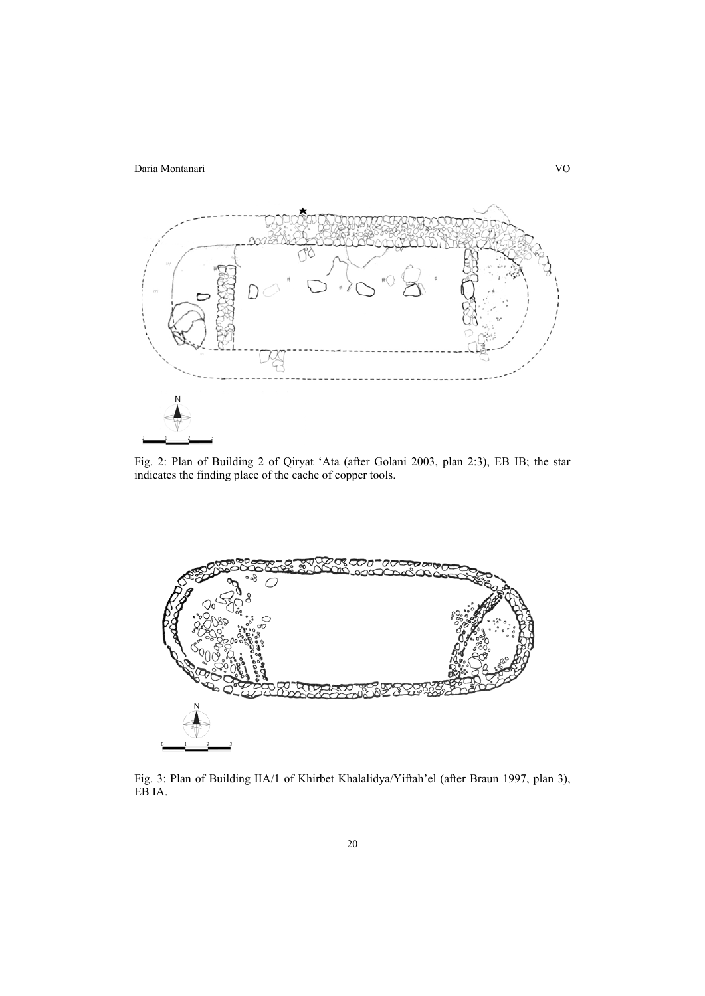

Fig. 2: Plan of Building 2 of Qiryat 'Ata (after Golani 2003, plan 2:3), EB IB; the star indicates the finding place of the cache of copper tools.



Fig. 3: Plan of Building IIA/1 of Khirbet Khalalidya/Yiftah'el (after Braun 1997, plan 3), EB IA.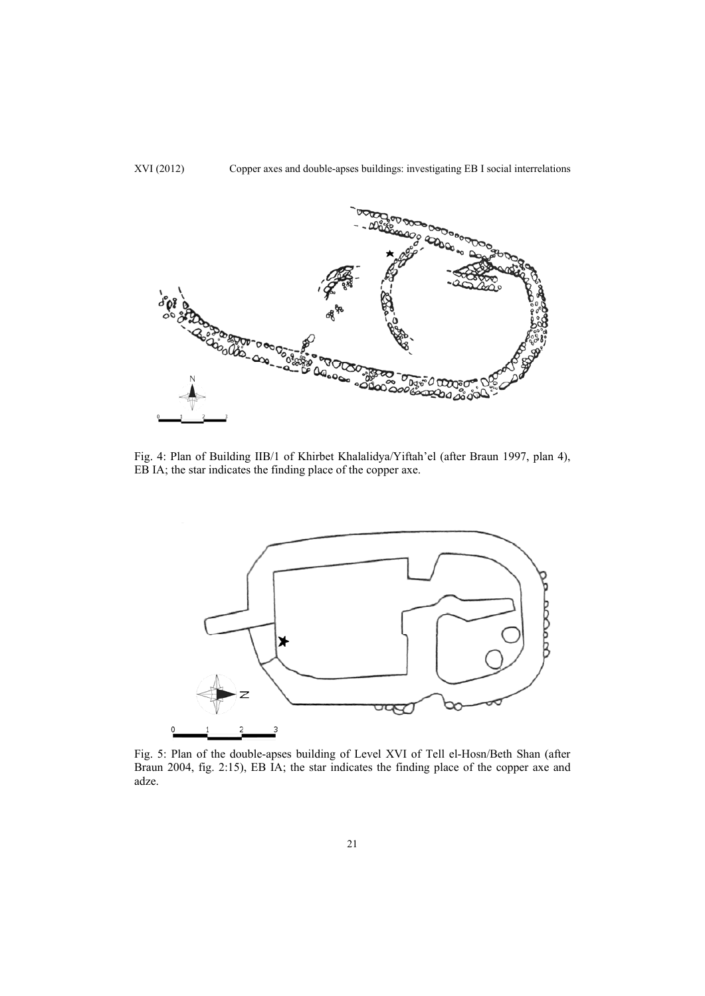

Fig. 4: Plan of Building IIB/1 of Khirbet Khalalidya/Yiftah'el (after Braun 1997, plan 4), EB IA; the star indicates the finding place of the copper axe.



Fig. 5: Plan of the double-apses building of Level XVI of Tell el-Hosn/Beth Shan (after Braun 2004, fig. 2:15), EB IA; the star indicates the finding place of the copper axe and adze.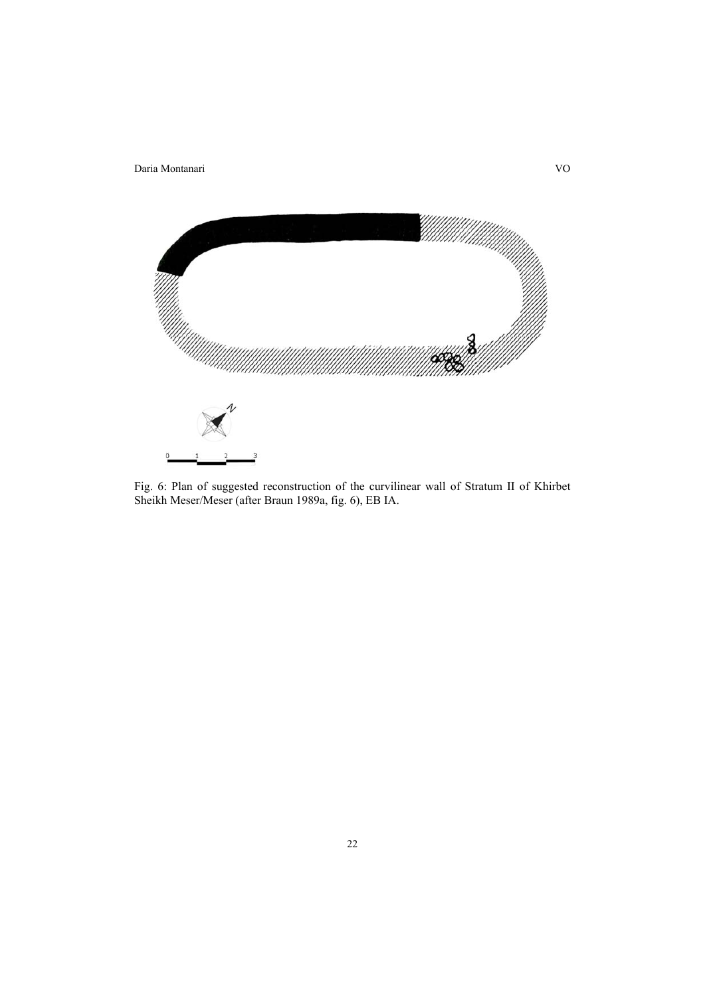

Fig. 6: Plan of suggested reconstruction of the curvilinear wall of Stratum II of Khirbet Sheikh Meser/Meser (after Braun 1989a, fig. 6), EB IA.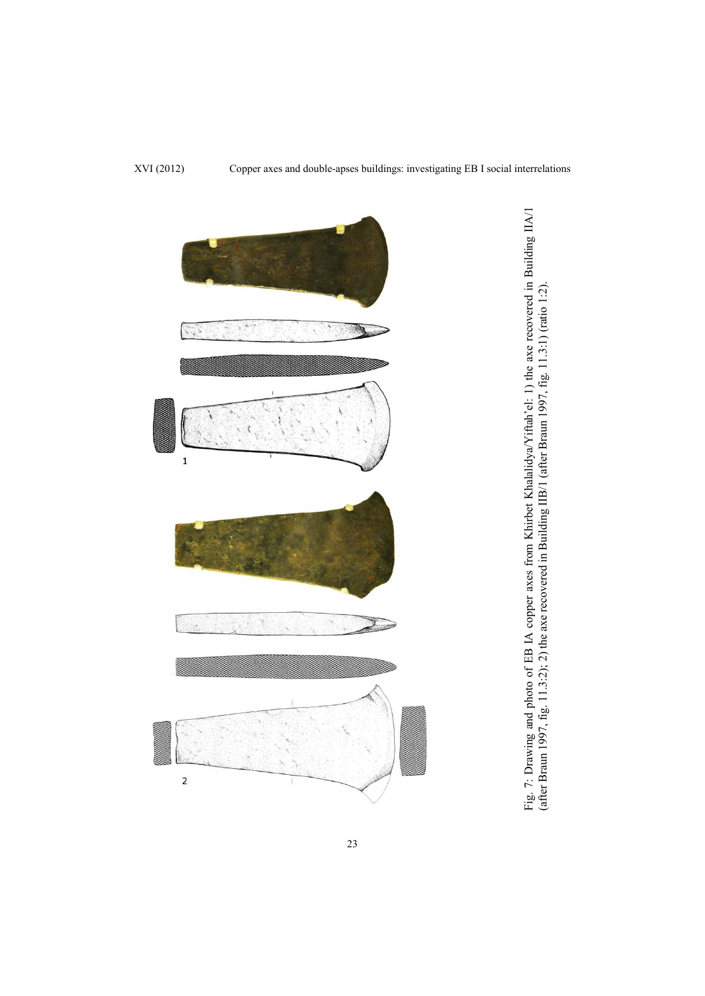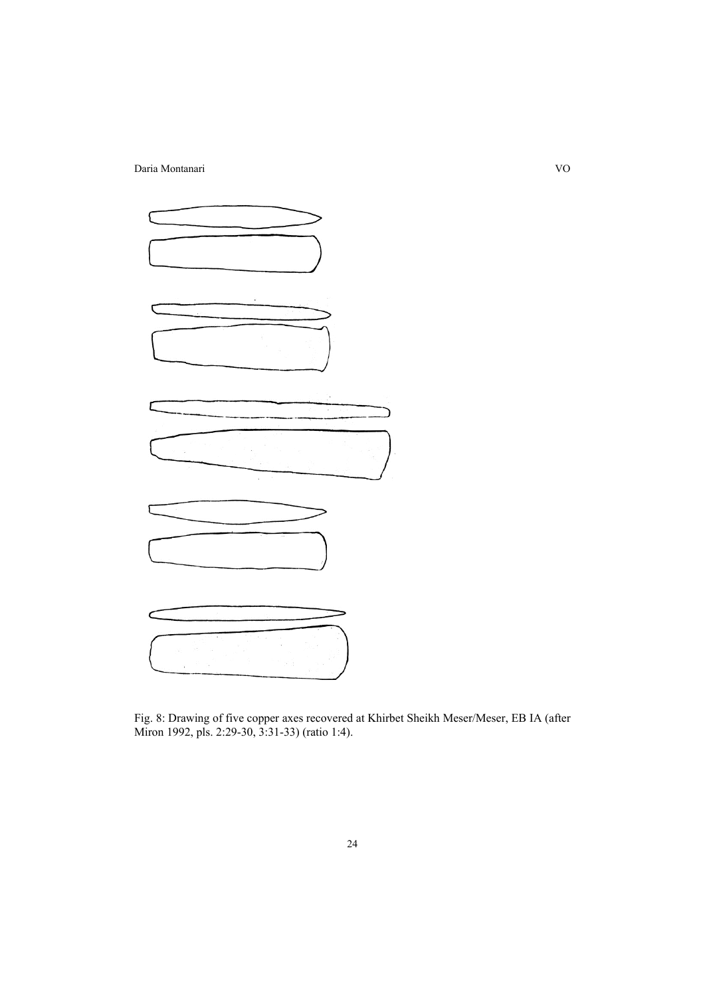

Fig. 8: Drawing of five copper axes recovered at Khirbet Sheikh Meser/Meser, EB IA (after Miron 1992, pls. 2:29-30, 3:31-33) (ratio 1:4).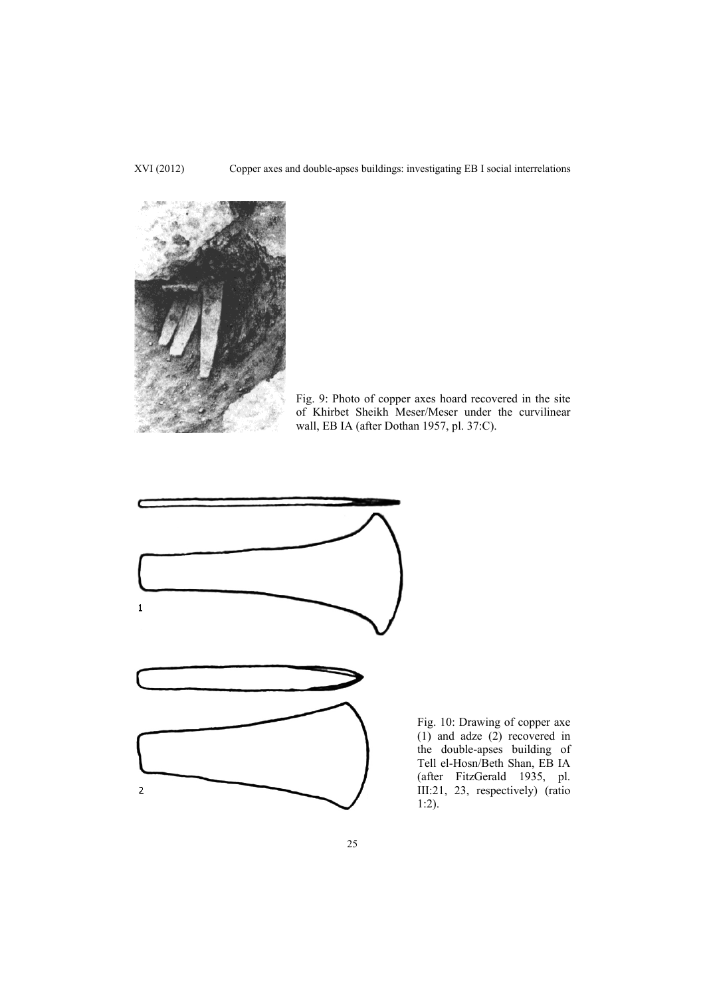

Fig. 9: Photo of copper axes hoard recovered in the site of Khirbet Sheikh Meser/Meser under the curvilinear wall, EB IA (after Dothan 1957, pl. 37:C).



Fig. 10: Drawing of copper axe  $(1)$  and adze  $(2)$  recovered in the double-apses building of Tell el-Hosn/Beth Shan, EB IA (after FitzGerald 1935, pl. III:21, 23, respectively) (ratio 1:2).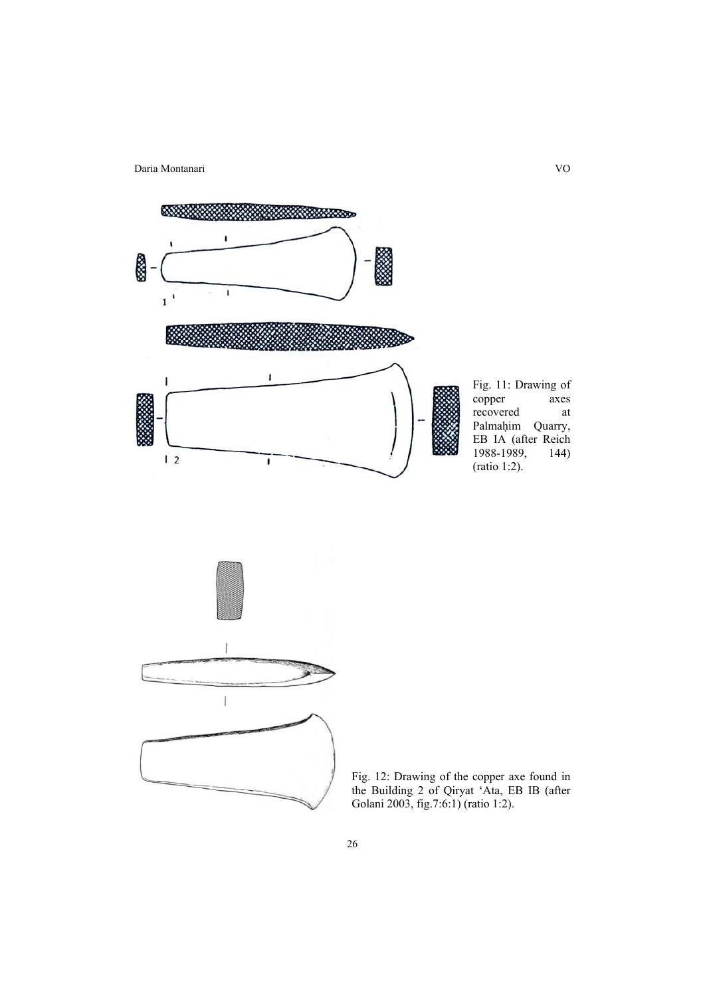



Fig. 12: Drawing of the copper axe found in the Building 2 of Qiryat 'Ata, EB IB (after Golani 2003, fig.7:6:1) (ratio 1:2).

26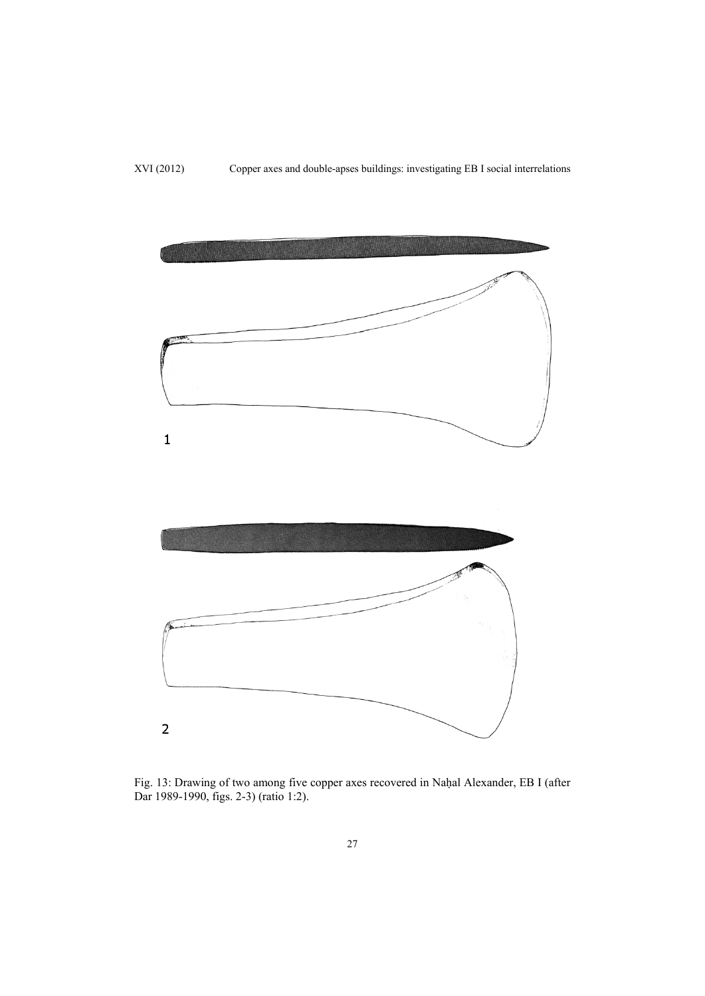

Fig. 13: Drawing of two among five copper axes recovered in Naḥal Alexander, EB I (after Dar 1989-1990, figs. 2-3) (ratio 1:2).